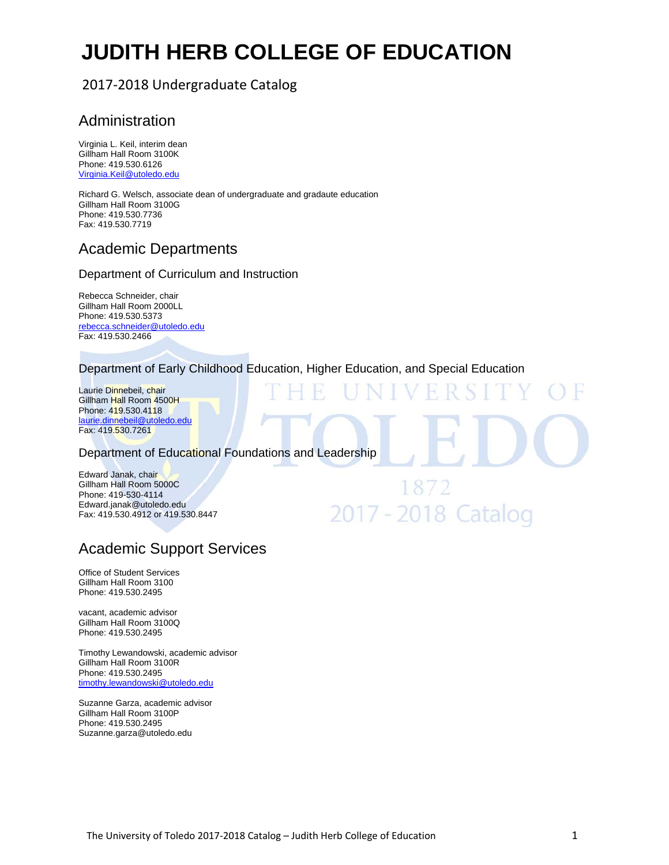# **JUDITH HERB COLLEGE OF EDUCATION**

# 2017‐2018 Undergraduate Catalog

# Administration

Virginia L. Keil, interim dean Gillham Hall Room 3100K Phone: 419.530.6126 Virginia.Keil@utoledo.edu

Richard G. Welsch, associate dean of undergraduate and gradaute education Gillham Hall Room 3100G Phone: 419.530.7736 Fax: 419.530.7719

# Academic Departments

## Department of Curriculum and Instruction

Rebecca Schneider, chair Gillham Hall Room 2000LL Phone: 419.530.5373 rebecca.schneider@utoledo.edu Fax: 419.530.2466

## Department of Early Childhood Education, Higher Education, and Special Education

1872

2017 - 2018 Catalog

Laurie Dinnebeil, chair Gillham Hall Room 4500H Phone: 419.530.4118 laurie.dinnebeil@utoledo.edu Fax: 419.530.7261

Department of Educational Foundations and Leadership

Edward Janak, chair Gillham Hall Room 5000C Phone: 419-530-4114 Edward.janak@utoledo.edu Fax: 419.530.4912 or 419.530.8447

# Academic Support Services

Office of Student Services Gillham Hall Room 3100 Phone: 419.530.2495

vacant, academic advisor Gillham Hall Room 3100Q Phone: 419.530.2495

Timothy Lewandowski, academic advisor Gillham Hall Room 3100R Phone: 419.530.2495 timothy.lewandowski@utoledo.edu

Suzanne Garza, academic advisor Gillham Hall Room 3100P Phone: 419.530.2495 Suzanne.garza@utoledo.edu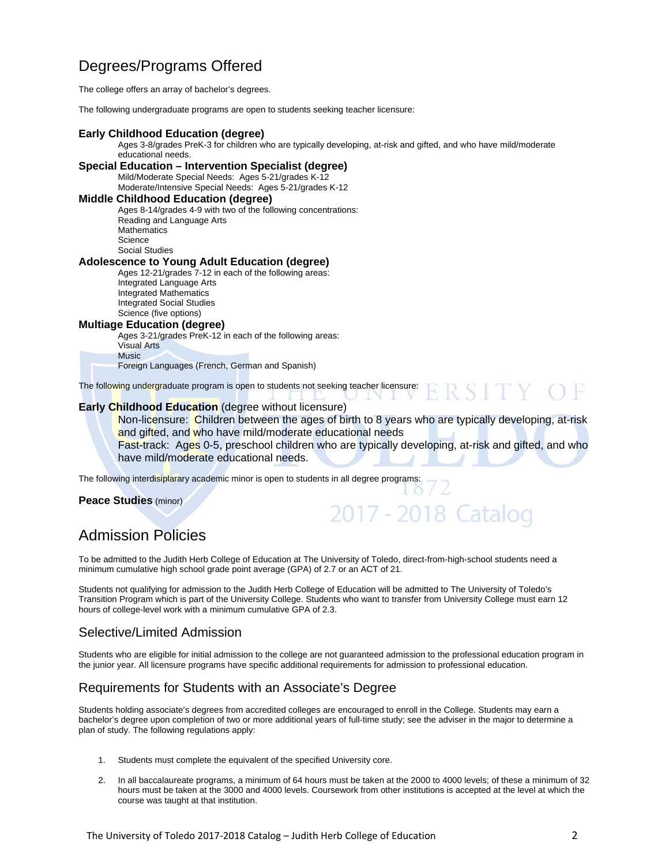# Degrees/Programs Offered

The college offers an array of bachelor's degrees.

The following undergraduate programs are open to students seeking teacher licensure:

#### **Early Childhood Education (degree)**

Ages 3-8/grades PreK-3 for children who are typically developing, at-risk and gifted, and who have mild/moderate educational needs.

#### **Special Education – Intervention Specialist (degree)**

Mild/Moderate Special Needs: Ages 5-21/grades K-12 Moderate/Intensive Special Needs: Ages 5-21/grades K-12

#### **Middle Childhood Education (degree)**

Ages 8-14/grades 4-9 with two of the following concentrations: Reading and Language Arts **Mathematics Science** Social Studies

#### **Adolescence to Young Adult Education (degree)**

Ages 12-21/grades 7-12 in each of the following areas: Integrated Language Arts Integrated Mathematics Integrated Social Studies Science (five options)

## **Multiage Education (degree)**

Ages 3-21/grades PreK-12 in each of the following areas: Visual Arts **Music** 

Foreign Languages (French, German and Spanish)

The following undergraduate program is open to students not seeking teacher licensure:  $S \perp Y$  ( -1.

### **Early Childhood Education** (degree without licensure)

Non-licensure: Children between the ages of birth to 8 years who are typically developing, at-risk and gifted, and who have mild/moderate educational needs

Fast-track: Ages 0-5, preschool children who are typically developing, at-risk and gifted, and who have mild/moderate educational needs.

2017 - 2018 Catalog

The following interdisiplarary academic minor is open to students in all degree programs:

#### **Peace Studies** (minor)

# Admission Policies

To be admitted to the Judith Herb College of Education at The University of Toledo, direct-from-high-school students need a minimum cumulative high school grade point average (GPA) of 2.7 or an ACT of 21.

Students not qualifying for admission to the Judith Herb College of Education will be admitted to The University of Toledo's Transition Program which is part of the University College. Students who want to transfer from University College must earn 12 hours of college-level work with a minimum cumulative GPA of 2.3.

## Selective/Limited Admission

Students who are eligible for initial admission to the college are not guaranteed admission to the professional education program in the junior year. All licensure programs have specific additional requirements for admission to professional education.

## Requirements for Students with an Associate's Degree

Students holding associate's degrees from accredited colleges are encouraged to enroll in the College. Students may earn a bachelor's degree upon completion of two or more additional years of full-time study; see the adviser in the major to determine a plan of study. The following regulations apply:

- 1. Students must complete the equivalent of the specified University core.
- 2. In all baccalaureate programs, a minimum of 64 hours must be taken at the 2000 to 4000 levels; of these a minimum of 32 hours must be taken at the 3000 and 4000 levels. Coursework from other institutions is accepted at the level at which the course was taught at that institution.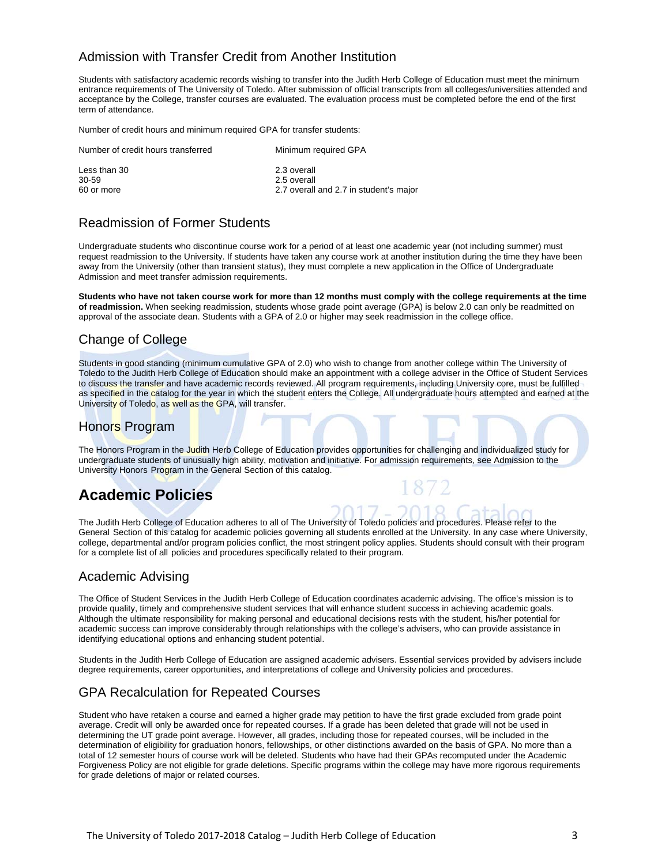## Admission with Transfer Credit from Another Institution

Students with satisfactory academic records wishing to transfer into the Judith Herb College of Education must meet the minimum entrance requirements of The University of Toledo. After submission of official transcripts from all colleges/universities attended and acceptance by the College, transfer courses are evaluated. The evaluation process must be completed before the end of the first term of attendance.

Number of credit hours and minimum required GPA for transfer students:

| Number of credit hours transferred | Minimum required GPA                   |
|------------------------------------|----------------------------------------|
| Less than 30                       | 2.3 overall                            |
| 30-59                              | 2.5 overall                            |
| 60 or more                         | 2.7 overall and 2.7 in student's major |

## Readmission of Former Students

Undergraduate students who discontinue course work for a period of at least one academic year (not including summer) must request readmission to the University. If students have taken any course work at another institution during the time they have been away from the University (other than transient status), they must complete a new application in the Office of Undergraduate Admission and meet transfer admission requirements.

**Students who have not taken course work for more than 12 months must comply with the college requirements at the time of readmission.** When seeking readmission, students whose grade point average (GPA) is below 2.0 can only be readmitted on approval of the associate dean. Students with a GPA of 2.0 or higher may seek readmission in the college office.

## Change of College

Students in good standing (minimum cumulative GPA of 2.0) who wish to change from another college within The University of Toledo to the Judith Herb College of Education should make an appointment with a college adviser in the Office of Student Services to discuss the transfer and have academic records reviewed. All program requirements, including University core, must be fulfilled as specified in the catalog for the year in which the student enters the College. All undergraduate hours attempted and earned at the University of Toledo, as well as the GPA, will transfer.

## Honors Program

The Honors Program in the Judith Herb College of Education provides opportunities for challenging and individualized study for undergraduate students of unusually high ability, motivation and initiative. For admission requirements, see Admission to the University Honors Program in the General Section of this catalog.

# **Academic Policies**

The Judith Herb College of Education adheres to all of The University of Toledo policies and procedures. Please refer to the General Section of this catalog for academic policies governing all students enrolled at the University. In any case where University, college, departmental and/or program policies conflict, the most stringent policy applies. Students should consult with their program for a complete list of all policies and procedures specifically related to their program.

## Academic Advising

The Office of Student Services in the Judith Herb College of Education coordinates academic advising. The office's mission is to provide quality, timely and comprehensive student services that will enhance student success in achieving academic goals. Although the ultimate responsibility for making personal and educational decisions rests with the student, his/her potential for academic success can improve considerably through relationships with the college's advisers, who can provide assistance in identifying educational options and enhancing student potential.

Students in the Judith Herb College of Education are assigned academic advisers. Essential services provided by advisers include degree requirements, career opportunities, and interpretations of college and University policies and procedures.

# GPA Recalculation for Repeated Courses

Student who have retaken a course and earned a higher grade may petition to have the first grade excluded from grade point average. Credit will only be awarded once for repeated courses. If a grade has been deleted that grade will not be used in determining the UT grade point average. However, all grades, including those for repeated courses, will be included in the determination of eligibility for graduation honors, fellowships, or other distinctions awarded on the basis of GPA. No more than a total of 12 semester hours of course work will be deleted. Students who have had their GPAs recomputed under the Academic Forgiveness Policy are not eligible for grade deletions. Specific programs within the college may have more rigorous requirements for grade deletions of major or related courses.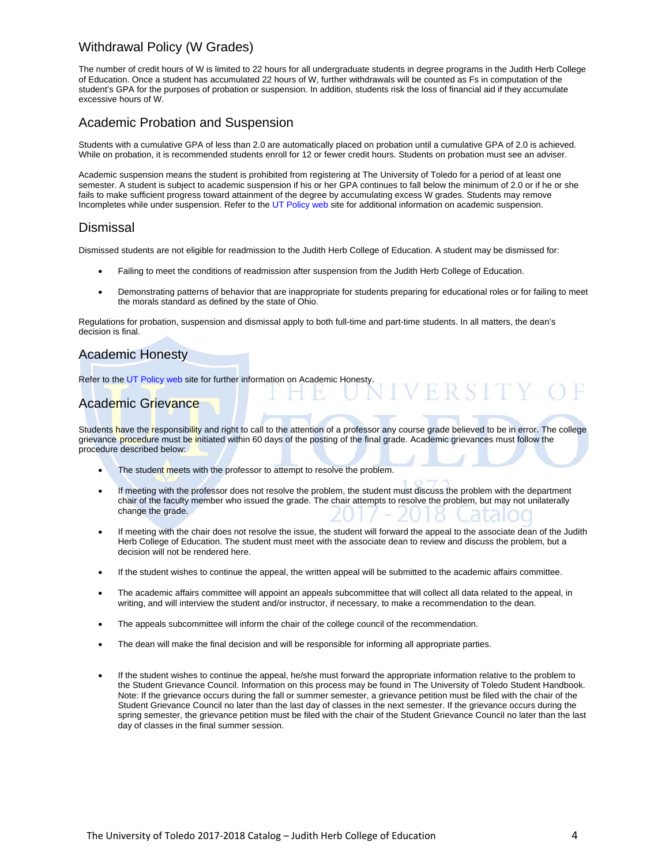## Withdrawal Policy (W Grades)

The number of credit hours of W is limited to 22 hours for all undergraduate students in degree programs in the Judith Herb College of Education. Once a student has accumulated 22 hours of W, further withdrawals will be counted as Fs in computation of the student's GPA for the purposes of probation or suspension. In addition, students risk the loss of financial aid if they accumulate excessive hours of W.

## Academic Probation and Suspension

Students with a cumulative GPA of less than 2.0 are automatically placed on probation until a cumulative GPA of 2.0 is achieved. While on probation, it is recommended students enroll for 12 or fewer credit hours. Students on probation must see an adviser.

Academic suspension means the student is prohibited from registering at The University of Toledo for a period of at least one semester. A student is subject to academic suspension if his or her GPA continues to fall below the minimum of 2.0 or if he or she fails to make sufficient progress toward attainment of the degree by accumulating excess W grades. Students may remove Incompletes while under suspension. Refer to the UT Policy web site for additional information on academic suspension.

## Dismissal

Dismissed students are not eligible for readmission to the Judith Herb College of Education. A student may be dismissed for:

- Failing to meet the conditions of readmission after suspension from the Judith Herb College of Education.
- Demonstrating patterns of behavior that are inappropriate for students preparing for educational roles or for failing to meet the morals standard as defined by the state of Ohio.

VERSITY (

Regulations for probation, suspension and dismissal apply to both full-time and part-time students. In all matters, the dean's decision is final.

## Academic Honesty

Refer to the UT Policy web site for further information on Academic Honesty.

## Academic Grievance

Students have the responsibility and right to call to the attention of a professor any course grade believed to be in error. The college grievance procedure must be initiated within 60 days of the posting of the final grade. Academic grievances must follow the procedure described below:

- The student meets with the professor to attempt to resolve the problem.
- If meeting with the professor does not resolve the problem, the student must discuss the problem with the department chair of the faculty member who issued the grade. The chair attempts to resolve the problem, but may not unilaterally change the grade.
- If meeting with the chair does not resolve the issue, the student will forward the appeal to the associate dean of the Judith Herb College of Education. The student must meet with the associate dean to review and discuss the problem, but a decision will not be rendered here.
- If the student wishes to continue the appeal, the written appeal will be submitted to the academic affairs committee.
- The academic affairs committee will appoint an appeals subcommittee that will collect all data related to the appeal, in writing, and will interview the student and/or instructor, if necessary, to make a recommendation to the dean.
- The appeals subcommittee will inform the chair of the college council of the recommendation.
- The dean will make the final decision and will be responsible for informing all appropriate parties.
- If the student wishes to continue the appeal, he/she must forward the appropriate information relative to the problem to the Student Grievance Council. Information on this process may be found in The University of Toledo Student Handbook. Note: If the grievance occurs during the fall or summer semester, a grievance petition must be filed with the chair of the Student Grievance Council no later than the last day of classes in the next semester. If the grievance occurs during the spring semester, the grievance petition must be filed with the chair of the Student Grievance Council no later than the last day of classes in the final summer session.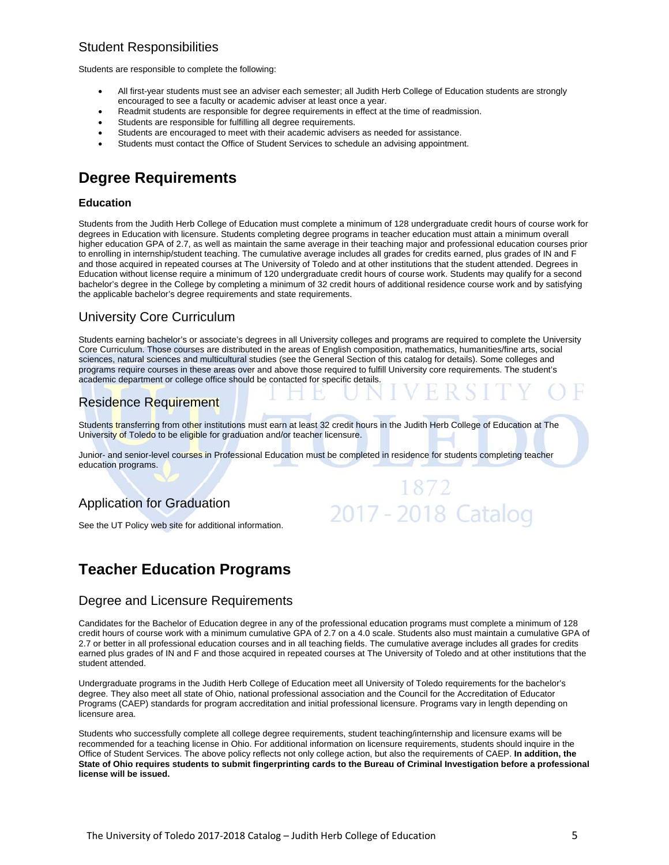## Student Responsibilities

Students are responsible to complete the following:

- All first-year students must see an adviser each semester; all Judith Herb College of Education students are strongly encouraged to see a faculty or academic adviser at least once a year.
- Readmit students are responsible for degree requirements in effect at the time of readmission.
- Students are responsible for fulfilling all degree requirements.
- Students are encouraged to meet with their academic advisers as needed for assistance.
- Students must contact the Office of Student Services to schedule an advising appointment.

# **Degree Requirements**

## **Education**

Students from the Judith Herb College of Education must complete a minimum of 128 undergraduate credit hours of course work for degrees in Education with licensure. Students completing degree programs in teacher education must attain a minimum overall higher education GPA of 2.7, as well as maintain the same average in their teaching major and professional education courses prior to enrolling in internship/student teaching. The cumulative average includes all grades for credits earned, plus grades of IN and F and those acquired in repeated courses at The University of Toledo and at other institutions that the student attended. Degrees in Education without license require a minimum of 120 undergraduate credit hours of course work. Students may qualify for a second bachelor's degree in the College by completing a minimum of 32 credit hours of additional residence course work and by satisfying the applicable bachelor's degree requirements and state requirements.

## University Core Curriculum

Students earning bachelor's or associate's degrees in all University colleges and programs are required to complete the University Core Curriculum. Those courses are distributed in the areas of English composition, mathematics, humanities/fine arts, social sciences, natural sciences and multicultural studies (see the General Section of this catalog for details). Some colleges and programs require courses in these areas over and above those required to fulfill University core requirements. The student's academic department or college office should be contacted for specific details.

# Residence Requirement

Students transferring from other institutions must earn at least 32 credit hours in the Judith Herb College of Education at The University of Toledo to be eligible for graduation and/or teacher licensure.

Junior- and senior-level courses in Professional Education must be completed in residence for students completing teacher education programs.

1872

2017 - 2018 Catalog

## Application for Graduation

See the UT Policy web site for additional information.

# **Teacher Education Programs**

## Degree and Licensure Requirements

Candidates for the Bachelor of Education degree in any of the professional education programs must complete a minimum of 128 credit hours of course work with a minimum cumulative GPA of 2.7 on a 4.0 scale. Students also must maintain a cumulative GPA of 2.7 or better in all professional education courses and in all teaching fields. The cumulative average includes all grades for credits earned plus grades of IN and F and those acquired in repeated courses at The University of Toledo and at other institutions that the student attended.

Undergraduate programs in the Judith Herb College of Education meet all University of Toledo requirements for the bachelor's degree. They also meet all state of Ohio, national professional association and the Council for the Accreditation of Educator Programs (CAEP) standards for program accreditation and initial professional licensure. Programs vary in length depending on licensure area.

Students who successfully complete all college degree requirements, student teaching/internship and licensure exams will be recommended for a teaching license in Ohio. For additional information on licensure requirements, students should inquire in the Office of Student Services. The above policy reflects not only college action, but also the requirements of CAEP. **In addition, the State of Ohio requires students to submit fingerprinting cards to the Bureau of Criminal Investigation before a professional license will be issued.**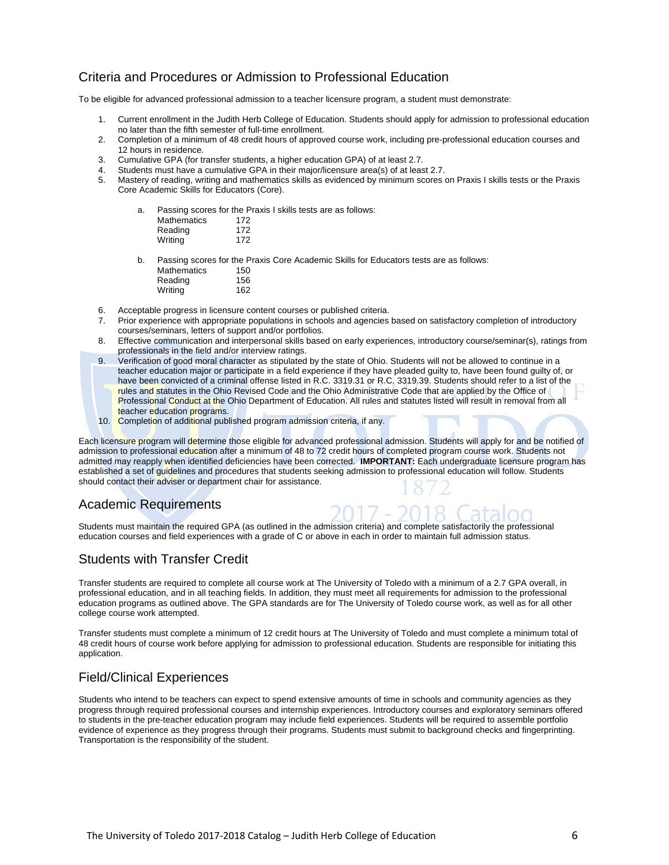## Criteria and Procedures or Admission to Professional Education

To be eligible for advanced professional admission to a teacher licensure program, a student must demonstrate:

- 1. Current enrollment in the Judith Herb College of Education. Students should apply for admission to professional education no later than the fifth semester of full-time enrollment.
- 2. Completion of a minimum of 48 credit hours of approved course work, including pre-professional education courses and 12 hours in residence.
- 3. Cumulative GPA (for transfer students, a higher education GPA) of at least 2.7.
- Students must have a cumulative GPA in their major/licensure area(s) of at least 2.7.
- 5. Mastery of reading, writing and mathematics skills as evidenced by minimum scores on Praxis I skills tests or the Praxis Core Academic Skills for Educators (Core).

| а. |                    | Passing scores for the Praxis I skills tests are as follows: |  |
|----|--------------------|--------------------------------------------------------------|--|
|    | <b>Mathematics</b> | 172                                                          |  |
|    | Reading            | 172                                                          |  |
|    | Writing            | 172                                                          |  |
|    |                    |                                                              |  |
| b. |                    | Passing scores for the Praxis Core Academic Skills for Eq.   |  |

or Educators tests are as follows: Mathematics 150 Reading 156 Writing 162

- 6. Acceptable progress in licensure content courses or published criteria.
- 7. Prior experience with appropriate populations in schools and agencies based on satisfactory completion of introductory courses/seminars, letters of support and/or portfolios.
- 8. Effective communication and interpersonal skills based on early experiences, introductory course/seminar(s), ratings from professionals in the field and/or interview ratings.
- 9. Verification of good moral character as stipulated by the state of Ohio. Students will not be allowed to continue in a teacher education major or participate in a field experience if they have pleaded guilty to, have been found guilty of, or have been convicted of a criminal offense listed in R.C. 3319.31 or R.C. 3319.39. Students should refer to a list of the rules and statutes in the Ohio Revised Code and the Ohio Administrative Code that are applied by the Office of Professional Conduct at the Ohio Department of Education. All rules and statutes listed will result in removal from all teacher education programs.
- 10. Completion of additional published program admission criteria, if any.

Each licensure program will determine those eligible for advanced professional admission. Students will apply for and be notified of admission to professional education after a minimum of 48 to 72 credit hours of completed program course work. Students not admitted may reapply when identified deficiencies have been corrected. **IMPORTANT:** Each undergraduate licensure program has established a set of guidelines and procedures that students seeking admission to professional education will follow. Students should contact their adviser or department chair for assistance.

## Academic Requirements

Students must maintain the required GPA (as outlined in the admission criteria) and complete satisfactorily the professional education courses and field experiences with a grade of C or above in each in order to maintain full admission status.

## Students with Transfer Credit

Transfer students are required to complete all course work at The University of Toledo with a minimum of a 2.7 GPA overall, in professional education, and in all teaching fields. In addition, they must meet all requirements for admission to the professional education programs as outlined above. The GPA standards are for The University of Toledo course work, as well as for all other college course work attempted.

Transfer students must complete a minimum of 12 credit hours at The University of Toledo and must complete a minimum total of 48 credit hours of course work before applying for admission to professional education. Students are responsible for initiating this application.

## Field/Clinical Experiences

Students who intend to be teachers can expect to spend extensive amounts of time in schools and community agencies as they progress through required professional courses and internship experiences. Introductory courses and exploratory seminars offered to students in the pre-teacher education program may include field experiences. Students will be required to assemble portfolio evidence of experience as they progress through their programs. Students must submit to background checks and fingerprinting. Transportation is the responsibility of the student.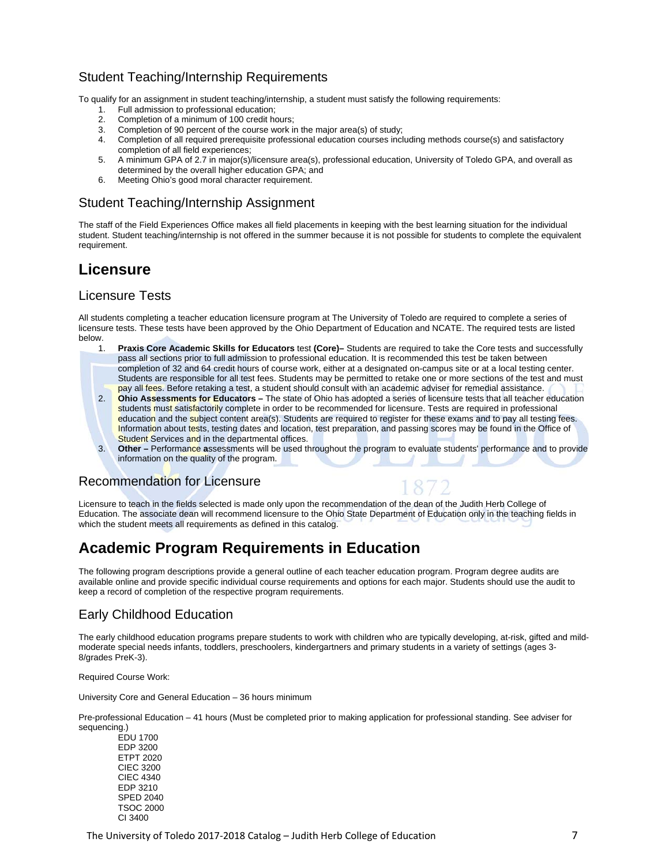## Student Teaching/Internship Requirements

To qualify for an assignment in student teaching/internship, a student must satisfy the following requirements:

- 1. Full admission to professional education;
- 2. Completion of a minimum of 100 credit hours;
- 3. Completion of 90 percent of the course work in the major area(s) of study;<br>4. Completion of all required prerequisite professional education courses incl
- 4. Completion of all required prerequisite professional education courses including methods course(s) and satisfactory completion of all field experiences;
- 5. A minimum GPA of 2.7 in major(s)/licensure area(s), professional education, University of Toledo GPA, and overall as determined by the overall higher education GPA; and
- 6. Meeting Ohio's good moral character requirement.

## Student Teaching/Internship Assignment

The staff of the Field Experiences Office makes all field placements in keeping with the best learning situation for the individual student. Student teaching/internship is not offered in the summer because it is not possible for students to complete the equivalent requirement.

# **Licensure**

## Licensure Tests

All students completing a teacher education licensure program at The University of Toledo are required to complete a series of licensure tests. These tests have been approved by the Ohio Department of Education and NCATE. The required tests are listed below.

- 1. **Praxis Core Academic Skills for Educators** test **(Core)–** Students are required to take the Core tests and successfully pass all sections prior to full admission to professional education. It is recommended this test be taken between completion of 32 and 64 credit hours of course work, either at a designated on-campus site or at a local testing center. Students are responsible for all test fees. Students may be permitted to retake one or more sections of the test and must pay all fees. Before retaking a test, a student should consult with an academic adviser for remedial assistance.
- 2. **Ohio Assessments for Educators** The state of Ohio has adopted a series of licensure tests that all teacher education students must satisfactorily complete in order to be recommended for licensure. Tests are required in professional education and the subject content area(s). Students are required to register for these exams and to pay all testing fees. Information about tests, testing dates and location, test preparation, and passing scores may be found in the Office of **Student Services and in the departmental offices.**
- 3. **Other** Performance **a**ssessments will be used throughout the program to evaluate students' performance and to provide information on the quality of the program.

## Recommendation for Licensure



Licensure to teach in the fields selected is made only upon the recommendation of the dean of the Judith Herb College of Education. The associate dean will recommend licensure to the Ohio State Department of Education only in the teaching fields in which the student meets all requirements as defined in this catalog.

# **Academic Program Requirements in Education**

The following program descriptions provide a general outline of each teacher education program. Program degree audits are available online and provide specific individual course requirements and options for each major. Students should use the audit to keep a record of completion of the respective program requirements.

## Early Childhood Education

The early childhood education programs prepare students to work with children who are typically developing, at-risk, gifted and mildmoderate special needs infants, toddlers, preschoolers, kindergartners and primary students in a variety of settings (ages 3- 8/grades PreK-3).

Required Course Work:

University Core and General Education – 36 hours minimum

Pre-professional Education – 41 hours (Must be completed prior to making application for professional standing. See adviser for sequencing.)

 EDU 1700 EDP 3200 ETPT 2020 CIEC 3200 CIEC 4340 EDP 3210 SPED 2040 TSOC 2000 CI 3400

The University of Toledo 2017-2018 Catalog – Judith Herb College of Education **T**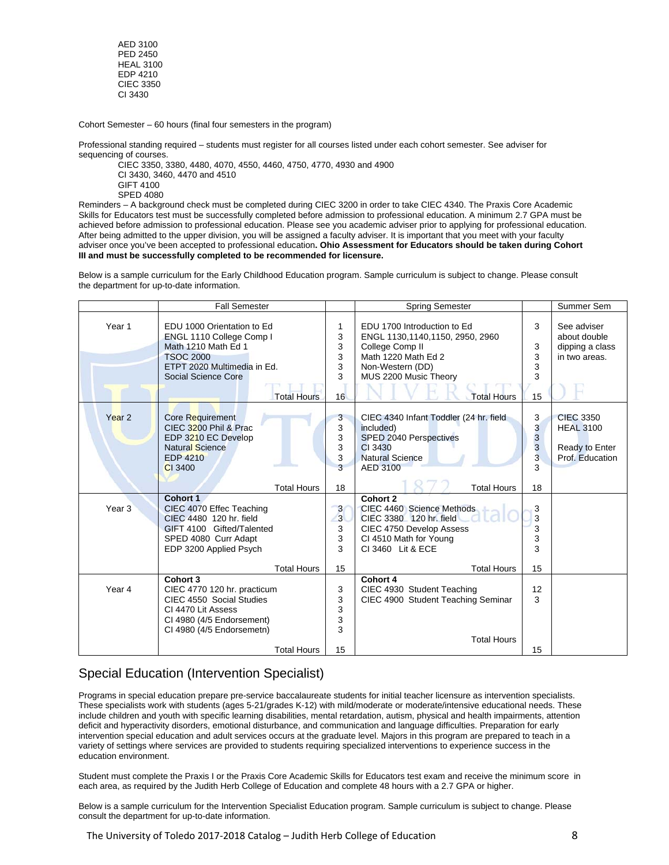AED 3100 PED 2450 HEAL 3100 EDP 4210 CIEC 3350 CI 3430

Cohort Semester – 60 hours (final four semesters in the program)

Professional standing required – students must register for all courses listed under each cohort semester. See adviser for sequencing of courses.

CIEC 3350, 3380, 4480, 4070, 4550, 4460, 4750, 4770, 4930 and 4900 CI 3430, 3460, 4470 and 4510 GIFT 4100 SPED 4080

Reminders – A background check must be completed during CIEC 3200 in order to take CIEC 4340. The Praxis Core Academic Skills for Educators test must be successfully completed before admission to professional education. A minimum 2.7 GPA must be achieved before admission to professional education. Please see you academic adviser prior to applying for professional education. After being admitted to the upper division, you will be assigned a faculty adviser. It is important that you meet with your faculty adviser once you've been accepted to professional education**. Ohio Assessment for Educators should be taken during Cohort III and must be successfully completed to be recommended for licensure.** 

Below is a sample curriculum for the Early Childhood Education program. Sample curriculum is subject to change. Please consult the department for up-to-date information.

|                   | <b>Fall Semester</b>                                                                                                                                                          |                                               | <b>Spring Semester</b>                                                                                                                                                      |                                         | Summer Sem                                                                |
|-------------------|-------------------------------------------------------------------------------------------------------------------------------------------------------------------------------|-----------------------------------------------|-----------------------------------------------------------------------------------------------------------------------------------------------------------------------------|-----------------------------------------|---------------------------------------------------------------------------|
| Year 1            | EDU 1000 Orientation to Ed<br>ENGL 1110 College Comp I<br>Math 1210 Math Ed 1<br><b>TSOC 2000</b><br>ETPT 2020 Multimedia in Ed.<br>Social Science Core<br><b>Total Hours</b> | 1<br>3<br>3<br>3<br>3<br>3<br>16              | EDU 1700 Introduction to Ed<br>ENGL 1130,1140,1150, 2950, 2960<br>College Comp II<br>Math 1220 Math Ed 2<br>Non-Western (DD)<br>MUS 2200 Music Theory<br><b>Total Hours</b> | 3<br>3<br>3<br>3<br>3<br>15             | See adviser<br>about double<br>dipping a class<br>in two areas.           |
| Year <sub>2</sub> | Core Requirement<br>CIEC 3200 Phil & Prac<br>EDP 3210 EC Develop<br><b>Natural Science</b><br><b>EDP 4210</b><br>CI 3400                                                      | 3<br>3<br>3<br>3<br>3<br>3                    | CIEC 4340 Infant Toddler (24 hr. field<br>included)<br>SPED 2040 Perspectives<br>CI 3430<br><b>Natural Science</b><br>AED 3100                                              | 3<br>3<br>3<br>3<br>$\overline{3}$<br>3 | <b>CIEC 3350</b><br><b>HEAL 3100</b><br>Ready to Enter<br>Prof. Education |
|                   | <b>Total Hours</b>                                                                                                                                                            | 18                                            | <b>Total Hours</b>                                                                                                                                                          | 18                                      |                                                                           |
| Year <sub>3</sub> | Cohort 1<br>CIEC 4070 Effec Teaching<br>CIEC 4480 120 hr. field<br>GIFT 4100 Gifted/Talented<br>SPED 4080 Curr Adapt<br>EDP 3200 Applied Psych                                | $\mathbf{3}$<br>$\overline{3}$<br>3<br>3<br>3 | Cohort 2<br>CIEC 4460 Science Methods<br>CIEC 3380 120 hr. field<br>CIEC 4750 Develop Assess<br>CI 4510 Math for Young<br>CI 3460 Lit & ECE                                 | 3<br>3<br>3<br>3<br>3                   |                                                                           |
|                   | <b>Total Hours</b>                                                                                                                                                            | 15                                            | <b>Total Hours</b>                                                                                                                                                          | 15                                      |                                                                           |
| Year <sub>4</sub> | Cohort 3<br>CIEC 4770 120 hr. practicum<br>CIEC 4550 Social Studies<br>CI 4470 Lit Assess<br>CI 4980 (4/5 Endorsement)<br>CI 4980 (4/5 Endorsemetn)                           | 3<br>3<br>3<br>3<br>3                         | Cohort 4<br>CIEC 4930 Student Teaching<br>CIEC 4900 Student Teaching Seminar                                                                                                | 12<br>3                                 |                                                                           |
|                   | <b>Total Hours</b>                                                                                                                                                            | 15                                            | <b>Total Hours</b>                                                                                                                                                          | 15                                      |                                                                           |

# Special Education (Intervention Specialist)

Programs in special education prepare pre-service baccalaureate students for initial teacher licensure as intervention specialists. These specialists work with students (ages 5-21/grades K-12) with mild/moderate or moderate/intensive educational needs. These include children and youth with specific learning disabilities, mental retardation, autism, physical and health impairments, attention deficit and hyperactivity disorders, emotional disturbance, and communication and language difficulties. Preparation for early intervention special education and adult services occurs at the graduate level. Majors in this program are prepared to teach in a variety of settings where services are provided to students requiring specialized interventions to experience success in the education environment.

Student must complete the Praxis I or the Praxis Core Academic Skills for Educators test exam and receive the minimum score in each area, as required by the Judith Herb College of Education and complete 48 hours with a 2.7 GPA or higher.

Below is a sample curriculum for the Intervention Specialist Education program. Sample curriculum is subject to change. Please consult the department for up-to-date information.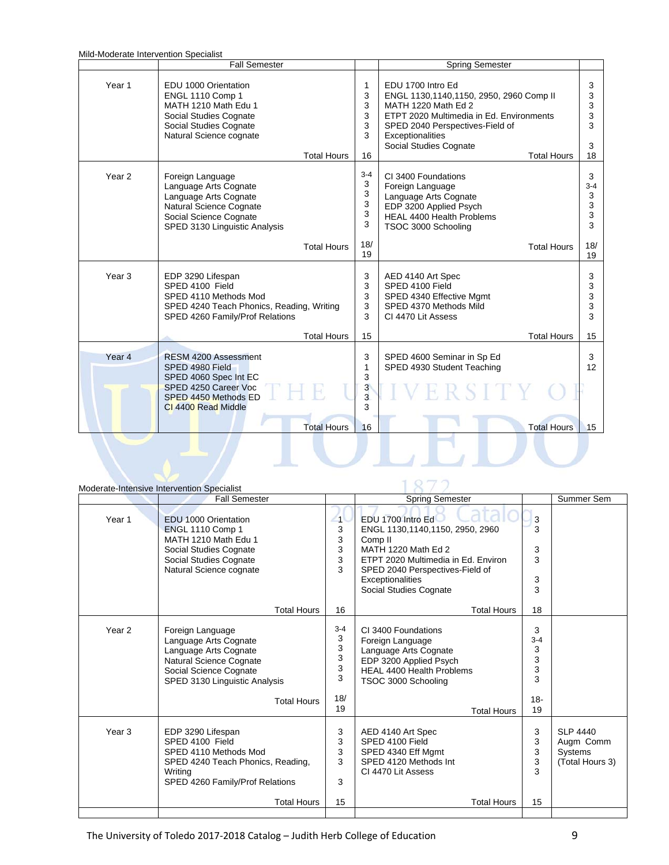| Mild-Moderate Intervention Specialist |                                                                                                                                                                       |                                   |                                                                                                                                                                                                                                        |                                  |
|---------------------------------------|-----------------------------------------------------------------------------------------------------------------------------------------------------------------------|-----------------------------------|----------------------------------------------------------------------------------------------------------------------------------------------------------------------------------------------------------------------------------------|----------------------------------|
|                                       | <b>Fall Semester</b>                                                                                                                                                  |                                   | <b>Spring Semester</b>                                                                                                                                                                                                                 |                                  |
| Year 1                                | EDU 1000 Orientation<br>ENGL 1110 Comp 1<br>MATH 1210 Math Edu 1<br>Social Studies Cognate<br>Social Studies Cognate<br>Natural Science cognate<br><b>Total Hours</b> | 1<br>3<br>3<br>3<br>3<br>3<br>16  | EDU 1700 Intro Ed<br>ENGL 1130,1140,1150, 2950, 2960 Comp II<br>MATH 1220 Math Ed 2<br>ETPT 2020 Multimedia in Ed. Environments<br>SPED 2040 Perspectives-Field of<br>Exceptionalities<br>Social Studies Cognate<br><b>Total Hours</b> | 3<br>3<br>3<br>3<br>3<br>3<br>18 |
|                                       |                                                                                                                                                                       |                                   |                                                                                                                                                                                                                                        |                                  |
| Year <sub>2</sub>                     | Foreign Language<br>Language Arts Cognate<br>Language Arts Cognate<br>Natural Science Cognate<br>Social Science Cognate<br>SPED 3130 Linguistic Analysis              | $3 - 4$<br>3<br>3<br>3<br>3<br>3  | CI 3400 Foundations<br>Foreign Language<br>Language Arts Cognate<br>EDP 3200 Applied Psych<br>HEAL 4400 Health Problems<br>TSOC 3000 Schooling                                                                                         | 3<br>$3 - 4$<br>3<br>3<br>3<br>3 |
|                                       | <b>Total Hours</b>                                                                                                                                                    | 18/<br>19                         | <b>Total Hours</b>                                                                                                                                                                                                                     | 18/<br>19                        |
| Year <sub>3</sub>                     | EDP 3290 Lifespan<br>SPED 4100 Field<br>SPED 4110 Methods Mod<br>SPED 4240 Teach Phonics, Reading, Writing<br>SPED 4260 Family/Prof Relations                         | 3<br>3<br>3<br>3<br>3             | AED 4140 Art Spec<br>SPED 4100 Field<br>SPED 4340 Effective Mgmt<br>SPED 4370 Methods Mild<br>CI 4470 Lit Assess                                                                                                                       | 3<br>3<br>3<br>3<br>3            |
|                                       | <b>Total Hours</b>                                                                                                                                                    | 15                                | <b>Total Hours</b>                                                                                                                                                                                                                     | 15                               |
| Year <sub>4</sub>                     | RESM 4200 Assessment<br>SPED 4980 Field<br>SPED 4060 Spec Int EC<br>SPED 4250 Career Voc<br>SPED 4450 Methods ED<br>CI 4400 Read Middle                               | 3<br>1<br>3<br>$\frac{3}{3}$<br>3 | SPED 4600 Seminar in Sp Ed<br>SPED 4930 Student Teaching<br>2 S I T                                                                                                                                                                    | 3<br>$12 \overline{ }$           |
|                                       | <b>Total Hours</b>                                                                                                                                                    | 16                                | <b>Total Hours</b>                                                                                                                                                                                                                     | 15                               |
|                                       |                                                                                                                                                                       |                                   |                                                                                                                                                                                                                                        |                                  |
|                                       | Moderate-Intensive Intervention Specialist                                                                                                                            |                                   |                                                                                                                                                                                                                                        |                                  |

|                   | Moderate-Intensive Intervention Specialist                                                                                                                                            |                                               |                                                                                                                                                                                                                           |                                                  |                                                            |
|-------------------|---------------------------------------------------------------------------------------------------------------------------------------------------------------------------------------|-----------------------------------------------|---------------------------------------------------------------------------------------------------------------------------------------------------------------------------------------------------------------------------|--------------------------------------------------|------------------------------------------------------------|
|                   | <b>Fall Semester</b>                                                                                                                                                                  |                                               | <b>Spring Semester</b>                                                                                                                                                                                                    |                                                  | Summer Sem                                                 |
| Year <sub>1</sub> | EDU 1000 Orientation<br>ENGL 1110 Comp 1<br>MATH 1210 Math Edu 1<br>Social Studies Cognate<br>Social Studies Cognate<br>Natural Science cognate                                       | $\overline{1}$<br>3<br>3<br>3<br>3<br>3       | EDU 1700 Intro Ed<br>ENGL 1130,1140,1150, 2950, 2960<br>Comp <sub>II</sub><br>MATH 1220 Math Ed 2<br>ETPT 2020 Multimedia in Ed. Environ<br>SPED 2040 Perspectives-Field of<br>Exceptionalities<br>Social Studies Cognate | 3<br>3<br>3<br>3<br>3<br>3                       |                                                            |
|                   | <b>Total Hours</b>                                                                                                                                                                    | 16                                            | <b>Total Hours</b>                                                                                                                                                                                                        | 18                                               |                                                            |
| Year <sub>2</sub> | Foreign Language<br>Language Arts Cognate<br>Language Arts Cognate<br><b>Natural Science Cognate</b><br>Social Science Cognate<br>SPED 3130 Linguistic Analysis<br><b>Total Hours</b> | $3 - 4$<br>3<br>3<br>3<br>3<br>3<br>18/<br>19 | CI 3400 Foundations<br>Foreign Language<br>Language Arts Cognate<br>EDP 3200 Applied Psych<br><b>HEAL 4400 Health Problems</b><br>TSOC 3000 Schooling<br><b>Total Hours</b>                                               | 3<br>$3 - 4$<br>3<br>3<br>3<br>3<br>$18 -$<br>19 |                                                            |
| Year <sub>3</sub> | EDP 3290 Lifespan<br>SPED 4100 Field<br>SPED 4110 Methods Mod<br>SPED 4240 Teach Phonics, Reading,<br>Writing<br>SPED 4260 Family/Prof Relations<br><b>Total Hours</b>                | 3<br>3<br>3<br>3<br>3<br>15                   | AED 4140 Art Spec<br>SPED 4100 Field<br>SPED 4340 Eff Mgmt<br>SPED 4120 Methods Int<br>CI 4470 Lit Assess<br><b>Total Hours</b>                                                                                           | 3<br>3<br>3<br>3<br>3<br>15                      | <b>SLP 4440</b><br>Augm Comm<br>Systems<br>(Total Hours 3) |
|                   |                                                                                                                                                                                       |                                               |                                                                                                                                                                                                                           |                                                  |                                                            |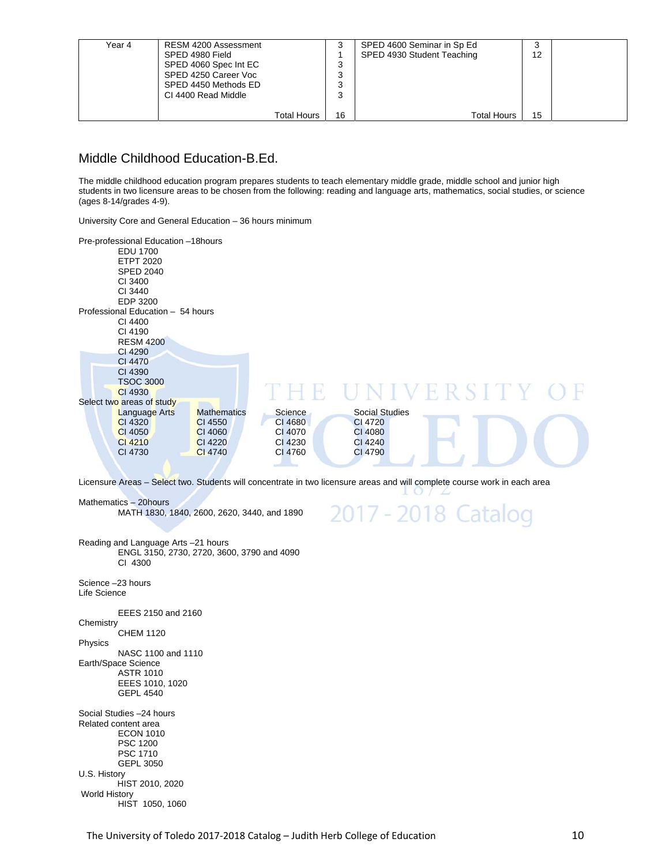| Year 4 | RESM 4200 Assessment  |                    |         | SPED 4600 Seminar in Sp Ed | J  |  |
|--------|-----------------------|--------------------|---------|----------------------------|----|--|
|        | SPED 4980 Field       |                    |         | SPED 4930 Student Teaching | 12 |  |
|        | SPED 4060 Spec Int EC |                    | っ<br>J  |                            |    |  |
|        | SPED 4250 Career Voc  |                    | っ<br>د، |                            |    |  |
|        | SPED 4450 Methods ED  |                    | っ<br>×. |                            |    |  |
|        | CI 4400 Read Middle   |                    | っ       |                            |    |  |
|        |                       |                    |         |                            |    |  |
|        |                       | <b>Total Hours</b> | 16      | <b>Total Hours</b>         | 15 |  |

## Middle Childhood Education-B.Ed.

The middle childhood education program prepares students to teach elementary middle grade, middle school and junior high students in two licensure areas to be chosen from the following: reading and language arts, mathematics, social studies, or science (ages 8-14/grades 4-9).

University Core and General Education – 36 hours minimum

| Pre-professional Education -18hours<br>EDU 1700<br><b>ETPT 2020</b><br><b>SPED 2040</b><br>CI 3400<br>CI 3440<br>EDP 3200 |                    |         |                       |             |  |
|---------------------------------------------------------------------------------------------------------------------------|--------------------|---------|-----------------------|-------------|--|
| Professional Education - 54 hours                                                                                         |                    |         |                       |             |  |
| CI 4400                                                                                                                   |                    |         |                       |             |  |
| CI 4190                                                                                                                   |                    |         |                       |             |  |
| <b>RESM 4200</b>                                                                                                          |                    |         |                       |             |  |
| CI 4290                                                                                                                   |                    |         |                       |             |  |
| CI 4470                                                                                                                   |                    |         |                       |             |  |
| CI 4390                                                                                                                   |                    |         |                       |             |  |
| <b>TSOC 3000</b>                                                                                                          |                    |         |                       |             |  |
| CI 4930                                                                                                                   |                    |         |                       | NIVERSITY O |  |
| Select two areas of study                                                                                                 |                    |         |                       |             |  |
| <b>Language Arts</b>                                                                                                      | <b>Mathematics</b> | Science | <b>Social Studies</b> |             |  |
| CI 4320                                                                                                                   | CI 4550            | CI 4680 | CI 4720               |             |  |
| CI 4050                                                                                                                   | CI 4060            | CI 4070 | <b>CI 4080</b>        |             |  |
| CI 4210                                                                                                                   | CI 4220            | CI 4230 | CI 4240               |             |  |
| CI 4730                                                                                                                   | CI 4740            | CI 4760 | CI 4790               |             |  |

Licensure Areas – Select two. Students will concentrate in two licensure areas and will complete course work in each area

Mathematics – 20hours MATH 1830, 1840, 2600, 2620, 3440, and 1890



Reading and Language Arts –21 hours ENGL 3150, 2730, 2720, 3600, 3790 and 4090 CI 4300

Science –23 hours Life Science

 EEES 2150 and 2160 **Chemistry** 

CHEM 1120

Physics NASC 1100 and 1110 Earth/Space Science ASTR 1010

EEES 1010, 1020

GEPL 4540

Social Studies –24 hours Related content area ECON 1010 PSC 1200 PSC 1710 GEPL 3050 U.S. History HIST 2010, 2020 World History HIST 1050, 1060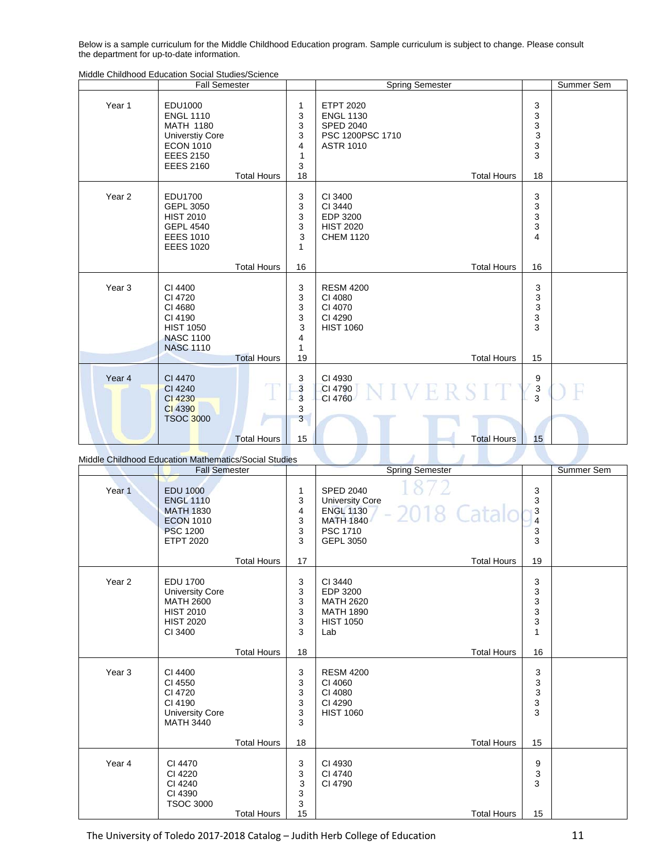Below is a sample curriculum for the Middle Childhood Education program. Sample curriculum is subject to change. Please consult the department for up-to-date information.

|                   | <b>Fall Semester</b>                                                                                                                         |                    |                                                                | <b>Spring Semester</b>                                                                                                 |                                                               | Summer Sem |
|-------------------|----------------------------------------------------------------------------------------------------------------------------------------------|--------------------|----------------------------------------------------------------|------------------------------------------------------------------------------------------------------------------------|---------------------------------------------------------------|------------|
| Year 1            | <b>EDU1000</b><br><b>ENGL 1110</b><br><b>MATH 1180</b><br><b>Universtiy Core</b><br><b>ECON 1010</b><br><b>EEES 2150</b><br><b>EEES 2160</b> | <b>Total Hours</b> | 1<br>3<br>3<br>3<br>4<br>$\mathbf{1}$<br>3<br>18               | <b>ETPT 2020</b><br><b>ENGL 1130</b><br><b>SPED 2040</b><br>PSC 1200PSC 1710<br><b>ASTR 1010</b><br><b>Total Hours</b> | 3<br>3<br>3<br>$\mathsf 3$<br>3<br>3<br>18                    |            |
| Year <sub>2</sub> | <b>EDU1700</b><br>GEPL 3050<br><b>HIST 2010</b><br><b>GEPL 4540</b><br><b>EEES 1010</b><br><b>EEES 1020</b>                                  |                    | 3<br>3<br>3<br>3<br>3<br>$\mathbf{1}$                          | CI 3400<br>CI 3440<br>EDP 3200<br><b>HIST 2020</b><br><b>CHEM 1120</b>                                                 | 3<br>3<br>3<br>3<br>$\overline{\mathbf{4}}$                   |            |
|                   |                                                                                                                                              | <b>Total Hours</b> | 16                                                             | <b>Total Hours</b>                                                                                                     | 16                                                            |            |
| Year <sub>3</sub> | CI 4400<br>CI 4720<br>CI 4680<br>CI 4190<br><b>HIST 1050</b><br><b>NASC 1100</b><br><b>NASC 1110</b>                                         | <b>Total Hours</b> | 3<br>3<br>3<br>3<br>3<br>4<br>$\mathbf{1}$<br>19               | <b>RESM 4200</b><br>CI 4080<br>CI 4070<br>CI 4290<br><b>HIST 1060</b><br><b>Total Hours</b>                            | 3<br>$\ensuremath{\mathsf{3}}$<br>$\mathsf 3$<br>3<br>3<br>15 |            |
| Year 4            | CI 4470<br>CI 4240<br>CI 4230<br>CI 4390<br><b>TSOC 3000</b>                                                                                 | <b>Total Hours</b> | 3<br>3<br>$\overline{\mathbf{3}}$<br>3<br>$\overline{3}$<br>15 | CI 4930<br>NIVERSIT<br>CI 4790<br>CI 4760<br><b>Total Hours</b>                                                        | 9<br>$\overline{3}$<br>3<br>15                                |            |

Middle Childhood Education Social Studies/Science

|                   | <b>Fall Semester</b>                                                                                               |                    |                             | <b>Spring Semester</b>                                                                                                            |                                       | <b>Summer Sem</b> |
|-------------------|--------------------------------------------------------------------------------------------------------------------|--------------------|-----------------------------|-----------------------------------------------------------------------------------------------------------------------------------|---------------------------------------|-------------------|
| Year <sub>1</sub> | <b>EDU 1000</b><br><b>ENGL 1110</b><br><b>MATH 1830</b><br><b>ECON 1010</b><br><b>PSC 1200</b><br><b>ETPT 2020</b> |                    | 1<br>3<br>4<br>3<br>3<br>3  | <b>SPED 2040</b><br><b>University Core</b><br>2018 Catalo<br><b>ENGL 1130</b><br><b>MATH 1840</b><br>PSC 1710<br><b>GEPL 3050</b> | 3<br>3<br>3<br>4<br>3<br>3            |                   |
|                   |                                                                                                                    | <b>Total Hours</b> | 17                          | <b>Total Hours</b>                                                                                                                | 19                                    |                   |
| Year <sub>2</sub> | <b>EDU 1700</b><br><b>University Core</b><br><b>MATH 2600</b><br><b>HIST 2010</b><br><b>HIST 2020</b><br>CI 3400   |                    | 3<br>3<br>3<br>3<br>3<br>3  | CI 3440<br>EDP 3200<br><b>MATH 2620</b><br><b>MATH 1890</b><br><b>HIST 1050</b><br>Lab                                            | 3<br>3<br>3<br>3<br>3<br>$\mathbf{1}$ |                   |
|                   |                                                                                                                    | <b>Total Hours</b> | 18                          | <b>Total Hours</b>                                                                                                                | 16                                    |                   |
| Year <sub>3</sub> | CI 4400<br>CI 4550<br>CI 4720<br>CI 4190<br><b>University Core</b><br><b>MATH 3440</b>                             |                    | 3<br>3<br>3<br>3<br>3<br>3  | <b>RESM 4200</b><br>CI 4060<br>CI 4080<br>CI 4290<br><b>HIST 1060</b>                                                             | 3<br>3<br>3<br>3<br>3                 |                   |
|                   |                                                                                                                    | <b>Total Hours</b> | 18                          | <b>Total Hours</b>                                                                                                                | 15                                    |                   |
| Year 4            | CI 4470<br>CI 4220<br>CI 4240<br>CI 4390<br><b>TSOC 3000</b>                                                       | <b>Total Hours</b> | 3<br>3<br>3<br>3<br>3<br>15 | CI 4930<br>CI 4740<br>CI 4790<br><b>Total Hours</b>                                                                               | 9<br>3<br>3<br>15                     |                   |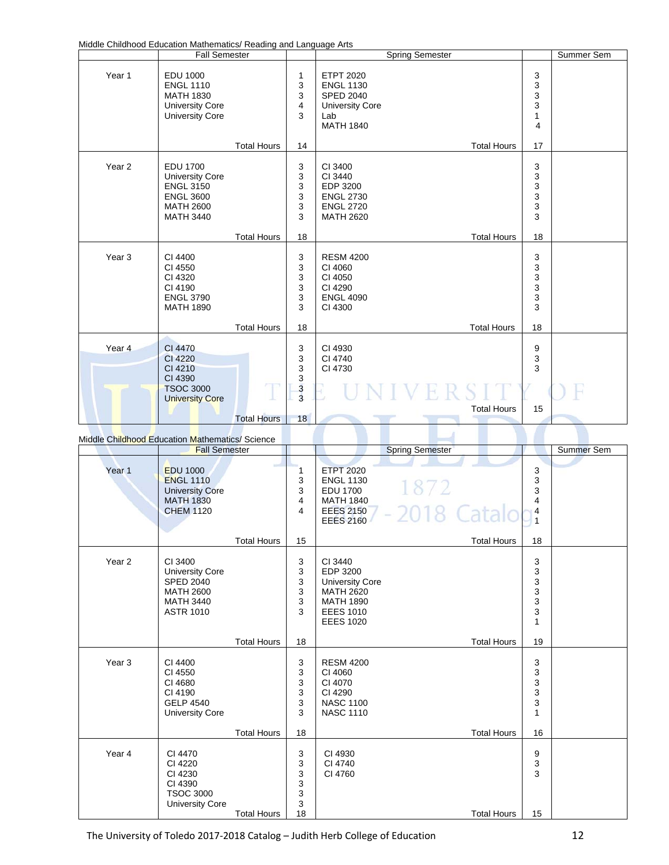Middle Childhood Education Mathematics/ Reading and Language Arts

|                   | <b>Fall Semester</b>                                                                                                      |                    |                                   | <b>Spring Semester</b>                                                                                        |                                                             | Summer Sem |
|-------------------|---------------------------------------------------------------------------------------------------------------------------|--------------------|-----------------------------------|---------------------------------------------------------------------------------------------------------------|-------------------------------------------------------------|------------|
| Year 1            | <b>EDU 1000</b><br><b>ENGL 1110</b><br><b>MATH 1830</b><br><b>University Core</b><br><b>University Core</b>               |                    | 1<br>3<br>3<br>4<br>3             | <b>ETPT 2020</b><br><b>ENGL 1130</b><br><b>SPED 2040</b><br><b>University Core</b><br>Lab<br><b>MATH 1840</b> | 3<br>3<br>3<br>3<br>$\mathbf{1}$<br>$\overline{\mathbf{4}}$ |            |
|                   |                                                                                                                           | <b>Total Hours</b> | 14                                | <b>Total Hours</b>                                                                                            | 17                                                          |            |
| Year <sub>2</sub> | <b>EDU 1700</b><br><b>University Core</b><br><b>ENGL 3150</b><br><b>ENGL 3600</b><br><b>MATH 2600</b><br><b>MATH 3440</b> |                    | 3<br>3<br>3<br>3<br>3<br>3        | CI 3400<br>CI 3440<br>EDP 3200<br><b>ENGL 2730</b><br><b>ENGL 2720</b><br><b>MATH 2620</b>                    | 3<br>3<br>3<br>$\frac{3}{3}$<br>3                           |            |
|                   |                                                                                                                           | <b>Total Hours</b> | 18                                | <b>Total Hours</b>                                                                                            | 18                                                          |            |
| Year <sub>3</sub> | CI 4400<br>CI 4550<br>CI 4320<br>CI 4190<br><b>ENGL 3790</b><br><b>MATH 1890</b>                                          |                    | 3<br>3<br>3<br>3<br>3<br>3        | <b>RESM 4200</b><br>CI 4060<br>CI 4050<br>CI 4290<br><b>ENGL 4090</b><br>CI 4300                              | 3<br>3<br>3<br>3<br>3<br>3                                  |            |
|                   |                                                                                                                           | <b>Total Hours</b> | 18                                | <b>Total Hours</b>                                                                                            | 18                                                          |            |
| Year <sub>4</sub> | CI 4470<br>CI 4220<br>CI 4210<br>CI 4390<br><b>TSOC 3000</b><br><b>University Core</b>                                    |                    | 3<br>3<br>3<br>3<br>$\frac{3}{3}$ | CI 4930<br>CI 4740<br>CI 4730                                                                                 | 9<br>3<br>3                                                 |            |
|                   |                                                                                                                           | <b>Total Hours</b> | 18                                | <b>Total Hours</b>                                                                                            | 15                                                          |            |

Middle Childhood Education Mathematics/ Science

|                   | <b>Fall Semester</b>                                                                                              |                    |                                      |                                                                                                                               | <b>Spring Semester</b> |                                                 | Summer Sem |
|-------------------|-------------------------------------------------------------------------------------------------------------------|--------------------|--------------------------------------|-------------------------------------------------------------------------------------------------------------------------------|------------------------|-------------------------------------------------|------------|
| Year <sub>1</sub> | <b>EDU 1000</b><br><b>ENGL 1110</b><br><b>University Core</b><br><b>MATH 1830</b><br><b>CHEM 1120</b>             | <b>Total Hours</b> | 1<br>3<br>3<br>4<br>4<br>15          | <b>ETPT 2020</b><br><b>ENGL 1130</b><br><b>EDU 1700</b><br><b>MATH 1840</b><br><b>EEES 2150</b><br><b>EEES 2160</b>           | 1872<br>-2018 Catalo   | 3<br>3<br>3<br>4<br>4<br>$\overline{1}$<br>18   |            |
| Year <sub>2</sub> | CI 3400<br><b>University Core</b><br><b>SPED 2040</b><br><b>MATH 2600</b><br><b>MATH 3440</b><br><b>ASTR 1010</b> |                    | 3<br>3<br>3<br>3<br>3<br>3           | CI 3440<br>EDP 3200<br><b>University Core</b><br><b>MATH 2620</b><br><b>MATH 1890</b><br><b>EEES 1010</b><br><b>EEES 1020</b> | <b>Total Hours</b>     | 3<br>3<br>3<br>3<br>3<br>3<br>$\mathbf{1}$      |            |
|                   |                                                                                                                   | <b>Total Hours</b> | 18                                   |                                                                                                                               | <b>Total Hours</b>     | 19                                              |            |
| Year <sub>3</sub> | CI 4400<br>CI 4550<br>CI 4680<br>CI 4190<br><b>GELP 4540</b><br><b>University Core</b>                            |                    | 3<br>3<br>3<br>$\mathsf 3$<br>3<br>3 | <b>RESM 4200</b><br>CI 4060<br>CI 4070<br>CI 4290<br><b>NASC 1100</b><br><b>NASC 1110</b>                                     |                        | 3<br>3<br>3<br>3<br>$\mathsf 3$<br>$\mathbf{1}$ |            |
|                   |                                                                                                                   | <b>Total Hours</b> | 18                                   |                                                                                                                               | <b>Total Hours</b>     | 16                                              |            |
| Year 4            | CI 4470<br>CI 4220<br>CI 4230<br>CI 4390<br><b>TSOC 3000</b><br><b>University Core</b>                            |                    | 3<br>3<br>3<br>3<br>3<br>3           | CI 4930<br>CI 4740<br>CI 4760                                                                                                 |                        | 9<br>3<br>3                                     |            |
|                   |                                                                                                                   | <b>Total Hours</b> | 18                                   |                                                                                                                               | <b>Total Hours</b>     | 15                                              |            |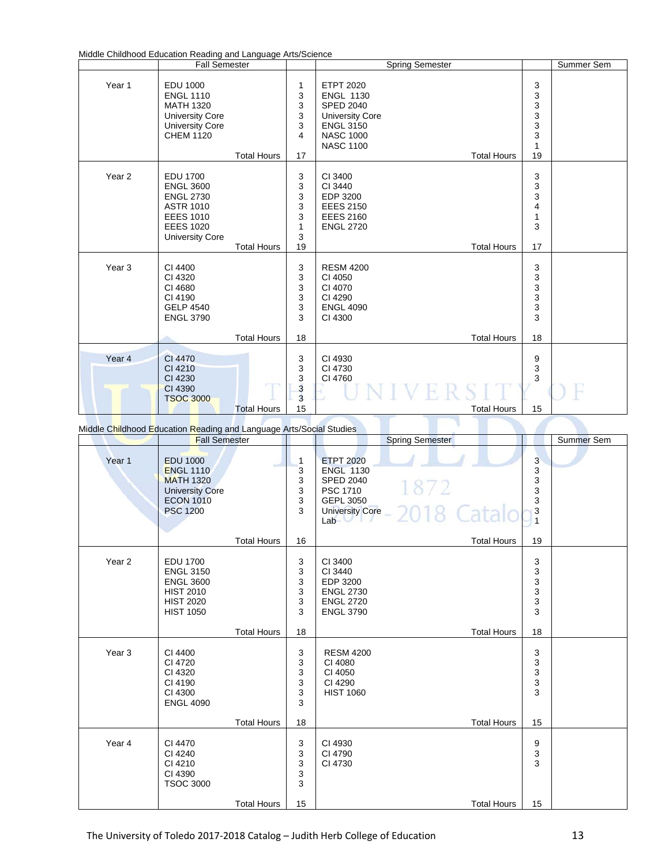| Middle Childhood Education Reading and Language Arts/Science |
|--------------------------------------------------------------|
|--------------------------------------------------------------|

|                                                                     | <b>Fall Semester</b>                                                                                                                          |                    |                                                          | <b>Spring Semester</b>                                                                                                                                               |                                              | Summer Sem |
|---------------------------------------------------------------------|-----------------------------------------------------------------------------------------------------------------------------------------------|--------------------|----------------------------------------------------------|----------------------------------------------------------------------------------------------------------------------------------------------------------------------|----------------------------------------------|------------|
| Year 1                                                              | <b>EDU 1000</b><br><b>ENGL 1110</b><br><b>MATH 1320</b><br><b>University Core</b><br><b>University Core</b><br><b>CHEM 1120</b>               | <b>Total Hours</b> | 1<br>3<br>3<br>3<br>3<br>$\overline{\mathbf{4}}$<br>17   | <b>ETPT 2020</b><br><b>ENGL 1130</b><br><b>SPED 2040</b><br><b>University Core</b><br><b>ENGL 3150</b><br><b>NASC 1000</b><br><b>NASC 1100</b><br><b>Total Hours</b> | 3<br>3<br>$\frac{3}{3}$<br>3<br>3<br>1<br>19 |            |
| Year <sub>2</sub>                                                   | <b>EDU 1700</b><br><b>ENGL 3600</b><br><b>ENGL 2730</b><br><b>ASTR 1010</b><br><b>EEES 1010</b><br><b>EEES 1020</b><br><b>University Core</b> | <b>Total Hours</b> | 3<br>3<br>3<br>3<br>3<br>1<br>3<br>19                    | CI 3400<br>CI 3440<br>EDP 3200<br><b>EEES 2150</b><br><b>EEES 2160</b><br><b>ENGL 2720</b><br><b>Total Hours</b>                                                     | 3<br>3<br>3<br>4<br>1<br>3<br>17             |            |
| Year <sub>3</sub>                                                   | CI 4400<br>CI 4320<br>CI 4680<br>CI 4190<br><b>GELP 4540</b><br><b>ENGL 3790</b>                                                              | <b>Total Hours</b> | 3<br>3<br>3<br>3<br>3<br>3<br>18                         | <b>RESM 4200</b><br>CI 4050<br>CI 4070<br>CI 4290<br><b>ENGL 4090</b><br>CI 4300<br><b>Total Hours</b>                                                               | 3<br>3<br>3<br>3<br>3<br>3<br>18             |            |
| Year 4                                                              | CI 4470<br>CI 4210<br>CI 4230<br>CI 4390<br><b>TSOC 3000</b>                                                                                  | <b>Total Hours</b> | 3<br>3<br>$\frac{3}{3}$<br>$\overline{\mathbf{3}}$<br>15 | CI 4930<br>CI 4730<br>CI 4760<br><b>Total Hours</b>                                                                                                                  | 9<br>3<br>3<br>15                            |            |
| Middle Childhood Education Reading and Language Arts/Social Studies |                                                                                                                                               |                    |                                                          |                                                                                                                                                                      |                                              |            |

Middle Childhood Education Reading and Language Arts/Social Studies

|                   | <b>Fall Semester</b>                                                                                                     |                                  | <b>Spring Semester</b>                                                                                                            |                                 | Summer Sem |
|-------------------|--------------------------------------------------------------------------------------------------------------------------|----------------------------------|-----------------------------------------------------------------------------------------------------------------------------------|---------------------------------|------------|
| Year 1            | <b>EDU 1000</b><br><b>ENGL 1110</b><br><b>MATH 1320</b><br><b>University Core</b><br><b>ECON 1010</b><br><b>PSC 1200</b> | 1<br>3<br>3<br>3<br>3<br>3       | <b>ETPT 2020</b><br><b>ENGL 1130</b><br><b>SPED 2040</b><br>1872<br>PSC 1710<br>GEPL 3050<br>University Core - 2018 Catalo<br>Lab | 3<br>3<br>3<br>3<br>3<br>3<br>1 |            |
|                   | <b>Total Hours</b>                                                                                                       | 16                               | <b>Total Hours</b>                                                                                                                | 19                              |            |
| Year <sub>2</sub> | <b>EDU 1700</b><br><b>ENGL 3150</b><br><b>ENGL 3600</b><br><b>HIST 2010</b><br><b>HIST 2020</b><br><b>HIST 1050</b>      | 3<br>3<br>3<br>3<br>3<br>3       | CI 3400<br>CI 3440<br>EDP 3200<br><b>ENGL 2730</b><br><b>ENGL 2720</b><br><b>ENGL 3790</b>                                        | 3<br>3<br>3<br>3<br>3<br>3      |            |
|                   | <b>Total Hours</b>                                                                                                       | 18                               | <b>Total Hours</b>                                                                                                                | 18                              |            |
| Year <sub>3</sub> | CI 4400<br>CI 4720<br>CI 4320<br>CI 4190<br>CI 4300<br><b>ENGL 4090</b><br><b>Total Hours</b>                            | 3<br>3<br>3<br>3<br>3<br>3<br>18 | <b>RESM 4200</b><br>CI 4080<br>CI 4050<br>CI 4290<br><b>HIST 1060</b><br><b>Total Hours</b>                                       | 3<br>3<br>3<br>3<br>3<br>15     |            |
|                   |                                                                                                                          |                                  |                                                                                                                                   |                                 |            |
| Year 4            | CI 4470<br>CI 4240<br>CI 4210<br>CI 4390<br><b>TSOC 3000</b>                                                             | 3<br>3<br>3<br>3<br>3            | CI 4930<br>CI 4790<br>CI 4730                                                                                                     | 9<br>3<br>3                     |            |
|                   | <b>Total Hours</b>                                                                                                       | 15                               | <b>Total Hours</b>                                                                                                                | 15                              |            |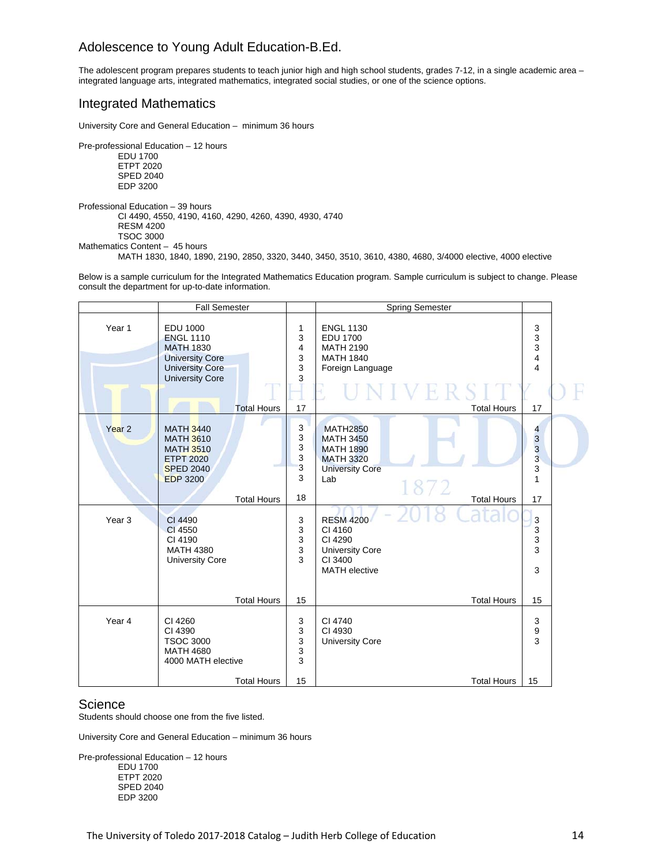## Adolescence to Young Adult Education-B.Ed.

The adolescent program prepares students to teach junior high and high school students, grades 7-12, in a single academic area – integrated language arts, integrated mathematics, integrated social studies, or one of the science options.

## Integrated Mathematics

University Core and General Education – minimum 36 hours

Pre-professional Education – 12 hours

 EDU 1700 ETPT 2020 SPED 2040 EDP 3200

Professional Education – 39 hours CI 4490, 4550, 4190, 4160, 4290, 4260, 4390, 4930, 4740 RESM 4200 TSOC 3000

Mathematics Content – 45 hours

MATH 1830, 1840, 1890, 2190, 2850, 3320, 3440, 3450, 3510, 3610, 4380, 4680, 3/4000 elective, 4000 elective

Below is a sample curriculum for the Integrated Mathematics Education program. Sample curriculum is subject to change. Please consult the department for up-to-date information.

|                   | <b>Fall Semester</b>                                                                                                                                        |                                  | <b>Spring Semester</b>                                                                                                                     |                                               |  |
|-------------------|-------------------------------------------------------------------------------------------------------------------------------------------------------------|----------------------------------|--------------------------------------------------------------------------------------------------------------------------------------------|-----------------------------------------------|--|
| Year 1            | <b>EDU 1000</b><br><b>ENGL 1110</b><br><b>MATH 1830</b><br><b>University Core</b><br><b>University Core</b><br><b>University Core</b><br><b>Total Hours</b> | 1<br>3<br>4<br>3<br>3<br>3<br>17 | <b>ENGL 1130</b><br><b>EDU 1700</b><br><b>MATH 2190</b><br><b>MATH 1840</b><br>Foreign Language<br>NIVERS.<br><b>Total Hours</b>           | 3<br>3<br>3<br>4<br>4<br>17                   |  |
| Year <sub>2</sub> | <b>MATH 3440</b><br><b>MATH 3610</b><br><b>MATH 3510</b><br><b>ETPT 2020</b><br><b>SPED 2040</b><br><b>EDP 3200</b><br><b>Total Hours</b>                   | 3<br>3<br>3<br>3<br>3<br>3<br>18 | <b>MATH2850</b><br><b>MATH 3450</b><br><b>MATH 1890</b><br><b>MATH 3320</b><br><b>University Core</b><br>Lab<br>1872<br><b>Total Hours</b> | 4<br>3<br>3<br>$\overline{3}$<br>3<br>1<br>17 |  |
| Year <sub>3</sub> | CI 4490<br>CI 4550<br>CI 4190<br><b>MATH 4380</b><br><b>University Core</b><br><b>Total Hours</b>                                                           | 3<br>3<br>3<br>3<br>3<br>15      | <b>RESM 4200</b><br>CI 4160<br>CI 4290<br><b>University Core</b><br>CI 3400<br><b>MATH</b> elective<br><b>Total Hours</b>                  | 3<br>3<br>3<br>3<br>3<br>15                   |  |
| Year 4            | CI 4260<br>CI 4390<br><b>TSOC 3000</b><br><b>MATH 4680</b><br>4000 MATH elective<br><b>Total Hours</b>                                                      | 3<br>3<br>3<br>3<br>3<br>15      | CI 4740<br>CI 4930<br><b>University Core</b><br><b>Total Hours</b>                                                                         | 3<br>9<br>3<br>15                             |  |

## **Science**

Students should choose one from the five listed.

University Core and General Education – minimum 36 hours

Pre-professional Education – 12 hours EDU 1700 ETPT 2020 SPED 2040 EDP 3200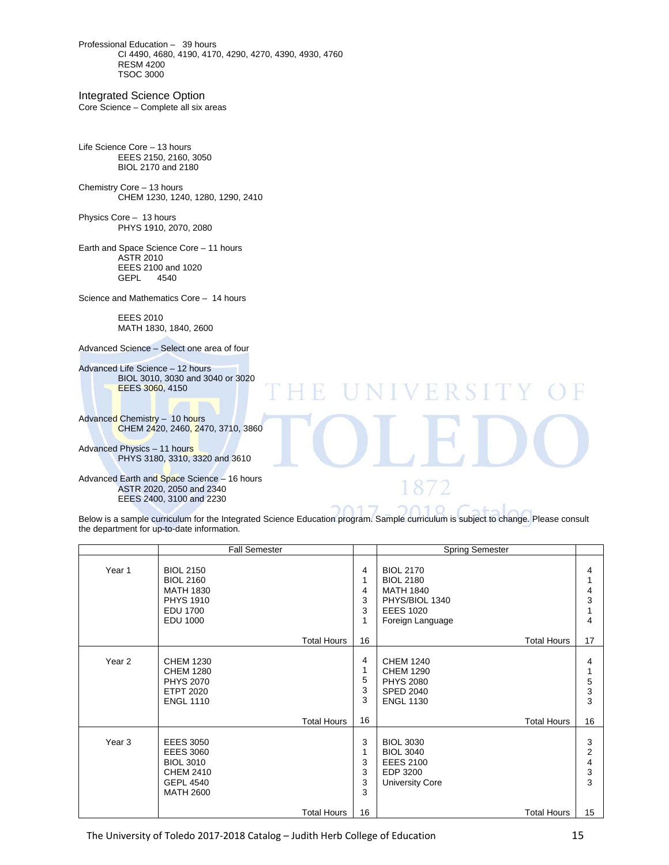Professional Education – 39 hours CI 4490, 4680, 4190, 4170, 4290, 4270, 4390, 4930, 4760 RESM 4200 TSOC 3000

Integrated Science Option

Core Science – Complete all six areas

Life Science Core – 13 hours EEES 2150, 2160, 3050 BIOL 2170 and 2180

Chemistry Core – 13 hours CHEM 1230, 1240, 1280, 1290, 2410

Physics Core – 13 hours PHYS 1910, 2070, 2080

Earth and Space Science Core – 11 hours ASTR 2010 EEES 2100 and 1020<br>GEPL 4540 **GEPL** 

Science and Mathematics Core – 14 hours

 EEES 2010 MATH 1830, 1840, 2600

Advanced Science – Select one area of four

Advanced Life Science – 12 hours BIOL 3010, 3030 and 3040 or 3020 EEES 3060, 4150

Advanced Chemistry – 10 hours CHEM 2420, 2460, 2470, 3710, 3860

Advanced Physics – 11 hours PHYS 3180, 3310, 3320 and 3610

Advanced Earth and Space Science – 16 hours ASTR 2020, 2050 and 2340 EEES 2400, 3100 and 2230

Below is a sample curriculum for the Integrated Science Education program. Sample curriculum is subject to change. Please consult the department for up-to-date information.

T

NIVERSI

 $8/2$ 

|                   | <b>Fall Semester</b>                                                                                                   |                             | <b>Spring Semester</b>                                                                                                 |                        |
|-------------------|------------------------------------------------------------------------------------------------------------------------|-----------------------------|------------------------------------------------------------------------------------------------------------------------|------------------------|
| Year 1            | <b>BIOL 2150</b><br><b>BIOL 2160</b><br><b>MATH 1830</b><br><b>PHYS 1910</b><br><b>EDU 1700</b><br><b>EDU 1000</b>     | 4<br>1<br>4<br>3<br>3<br>1  | <b>BIOL 2170</b><br><b>BIOL 2180</b><br><b>MATH 1840</b><br>PHYS/BIOL 1340<br><b>EEES 1020</b><br>Foreign Language     | 4<br>4<br>3<br>4       |
|                   | <b>Total Hours</b>                                                                                                     | 16                          | <b>Total Hours</b>                                                                                                     | 17                     |
| Year <sub>2</sub> | <b>CHEM 1230</b><br><b>CHEM 1280</b><br><b>PHYS 2070</b><br><b>ETPT 2020</b><br><b>ENGL 1110</b><br><b>Total Hours</b> | 4<br>1<br>5<br>3<br>3<br>16 | <b>CHEM 1240</b><br><b>CHEM 1290</b><br><b>PHYS 2080</b><br><b>SPED 2040</b><br><b>ENGL 1130</b><br><b>Total Hours</b> | 4<br>5<br>3<br>3<br>16 |
| Year <sub>3</sub> | <b>EEES 3050</b><br><b>EEES 3060</b><br><b>BIOL 3010</b><br><b>CHEM 2410</b><br><b>GEPL 4540</b><br><b>MATH 2600</b>   | 3<br>1<br>3<br>3<br>3<br>3  | <b>BIOL 3030</b><br><b>BIOL 3040</b><br><b>EEES 2100</b><br>EDP 3200<br><b>University Core</b>                         | 3<br>2<br>4<br>3<br>3  |
|                   | <b>Total Hours</b>                                                                                                     | 16                          | <b>Total Hours</b>                                                                                                     | 15                     |

The University of Toledo 2017-2018 Catalog – Judith Herb College of Education *Mathematics* 15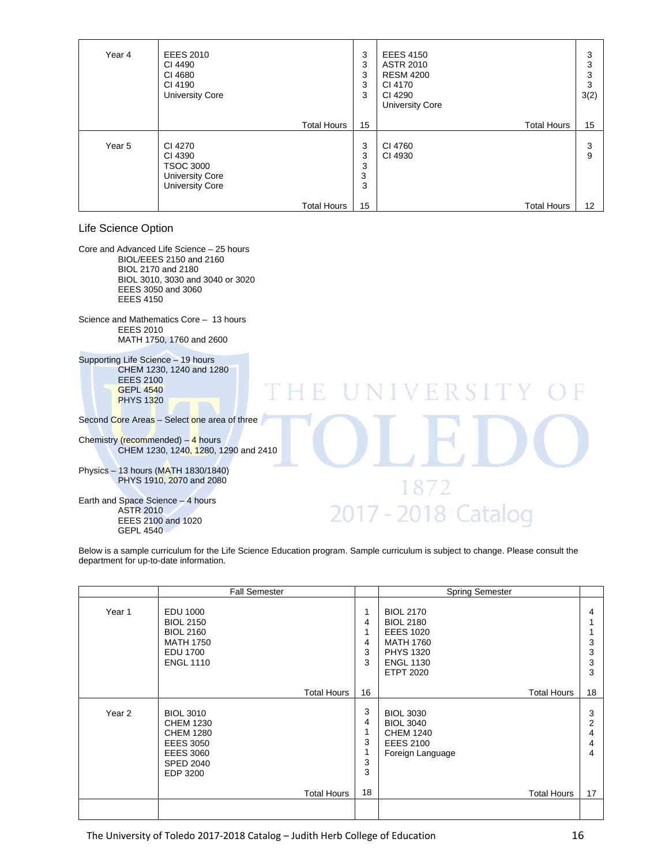| Year 4 | <b>EEES 2010</b><br>CI 4490<br>CI 4680<br>CI 4190<br><b>University Core</b>                | 3<br>3<br>3<br>3<br>3 | <b>EEES 4150</b><br><b>ASTR 2010</b><br><b>RESM 4200</b><br>CI 4170<br>CI 4290<br><b>University Core</b> | 3<br>3<br>3<br>3<br>3(2) |
|--------|--------------------------------------------------------------------------------------------|-----------------------|----------------------------------------------------------------------------------------------------------|--------------------------|
|        | <b>Total Hours</b>                                                                         | 15                    | <b>Total Hours</b>                                                                                       | 15                       |
| Year 5 | CI 4270<br>CI 4390<br><b>TSOC 3000</b><br><b>University Core</b><br><b>University Core</b> | 3<br>3<br>3<br>3<br>3 | CI 4760<br>CI 4930                                                                                       | 3<br>9                   |
|        | <b>Total Hours</b>                                                                         | 15                    | <b>Total Hours</b>                                                                                       | 12 <sup>°</sup>          |

## Life Science Option

Core and Advanced Life Science – 25 hours BIOL/EEES 2150 and 2160 BIOL 2170 and 2180 BIOL 3010, 3030 and 3040 or 3020 EEES 3050 and 3060 EEES 4150

Science and Mathematics Core – 13 hours EEES 2010 MATH 1750, 1760 and 2600

Supporting Life Science – 19 hours CHEM 1230, 1240 and 1280 EEES 2100 GEPL 4540 PHYS 1320

Second Core Areas – Select one area of three

Chemistry (recommended)  $-4$  hours CHEM 1230, 1240, 1280, 1290 and 2410

Physics – 13 hours (MATH 1830/1840) PHYS 1910, 2070 and 2080

Earth and Space Science – 4 hours ASTR 2010 EEES 2100 and 1020 GEPL 4540

#### Below is a sample curriculum for the Life Science Education program. Sample curriculum is subject to change. Please consult the department for up-to-date information.

F

T

NIVERSI

872

2017 - 2018 Catalog

|        | <b>Fall Semester</b>                                                                                                             |                                                             | <b>Spring Semester</b>                                                                                                                   |                             |
|--------|----------------------------------------------------------------------------------------------------------------------------------|-------------------------------------------------------------|------------------------------------------------------------------------------------------------------------------------------------------|-----------------------------|
| Year 1 | EDU 1000<br><b>BIOL 2150</b><br><b>BIOL 2160</b><br><b>MATH 1750</b><br><b>EDU 1700</b><br><b>ENGL 1110</b>                      | 1<br>4<br>1<br>4<br>3<br>3                                  | <b>BIOL 2170</b><br><b>BIOL 2180</b><br><b>EEES 1020</b><br><b>MATH 1760</b><br><b>PHYS 1320</b><br><b>ENGL 1130</b><br><b>ETPT 2020</b> | 4<br>3<br>3<br>3<br>3       |
|        |                                                                                                                                  | 16<br><b>Total Hours</b>                                    | <b>Total Hours</b>                                                                                                                       | 18                          |
| Year 2 | <b>BIOL 3010</b><br><b>CHEM 1230</b><br><b>CHEM 1280</b><br><b>EEES 3050</b><br><b>EEES 3060</b><br><b>SPED 2040</b><br>EDP 3200 | 3<br>4<br>1<br>3<br>1<br>3<br>3<br>18<br><b>Total Hours</b> | <b>BIOL 3030</b><br><b>BIOL 3040</b><br><b>CHEM 1240</b><br><b>EEES 2100</b><br>Foreign Language<br><b>Total Hours</b>                   | 3<br>2<br>4<br>4<br>4<br>17 |
|        |                                                                                                                                  |                                                             |                                                                                                                                          |                             |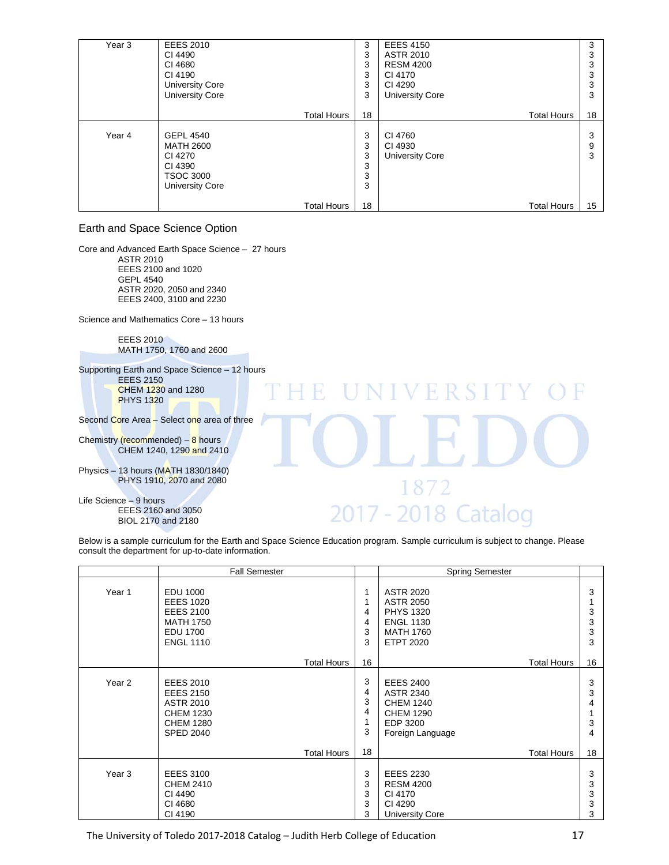| Year <sub>3</sub> | <b>EEES 2010</b><br>CI 4490<br>CI 4680<br>CI 4190<br><b>University Core</b><br><b>University Core</b>    | 3<br>3<br>3<br>3<br>3<br>3 | <b>EEES 4150</b><br><b>ASTR 2010</b><br><b>RESM 4200</b><br>CI 4170<br>CI 4290<br><b>University Core</b> | 3<br>3<br>د.<br>3<br>3<br>3 |
|-------------------|----------------------------------------------------------------------------------------------------------|----------------------------|----------------------------------------------------------------------------------------------------------|-----------------------------|
|                   | <b>Total Hours</b>                                                                                       | 18                         | <b>Total Hours</b>                                                                                       | 18                          |
| Year 4            | <b>GEPL 4540</b><br><b>MATH 2600</b><br>CI 4270<br>CI 4390<br><b>TSOC 3000</b><br><b>University Core</b> | 3<br>3<br>3<br>3<br>3<br>3 | CI 4760<br>CI 4930<br><b>University Core</b>                                                             | 3<br>9<br>3                 |
|                   | Total Hours                                                                                              | 18                         | <b>Total Hours</b>                                                                                       | 15                          |

## Earth and Space Science Option

Core and Advanced Earth Space Science – 27 hours ASTR 2010 EEES 2100 and 1020 GEPL 4540 ASTR 2020, 2050 and 2340 EEES 2400, 3100 and 2230

Science and Mathematics Core – 13 hours

 EEES 2010 MATH 1750, 1760 and 2600

Supporting Earth and Space Science – 12 hours

 EEES 2150 CHEM 1230 and 1280 PHYS 1320

Second Core Area - Select one area of three

Chemistry (recommended)  $-8$  hours  $CHEM$  1240, 1290 and 2410

Physics – 13 hours (MATH 1830/1840) PHYS 1910, 2070 and 2080

Life Science – 9 hours EEES 2160 and 3050 BIOL 2170 and 2180

# 2017 - 2018 Catalog

NIVERSI

872

Below is a sample curriculum for the Earth and Space Science Education program. Sample curriculum is subject to change. Please consult the department for up-to-date information.

H F

- 101

|                   | <b>Fall Semester</b>                                                                                                 |                            | <b>Spring Semester</b>                                                                                               |                       |
|-------------------|----------------------------------------------------------------------------------------------------------------------|----------------------------|----------------------------------------------------------------------------------------------------------------------|-----------------------|
| Year 1            | EDU 1000<br><b>EEES 1020</b><br><b>EEES 2100</b><br><b>MATH 1750</b><br><b>EDU 1700</b><br><b>ENGL 1110</b>          | 1<br>1<br>4<br>4<br>3<br>3 | <b>ASTR 2020</b><br><b>ASTR 2050</b><br><b>PHYS 1320</b><br><b>ENGL 1130</b><br><b>MATH 1760</b><br><b>ETPT 2020</b> | 3<br>3<br>3<br>3<br>3 |
|                   | <b>Total Hours</b>                                                                                                   | 16                         | <b>Total Hours</b>                                                                                                   | 16                    |
| Year 2            | <b>EEES 2010</b><br><b>EEES 2150</b><br><b>ASTR 2010</b><br><b>CHEM 1230</b><br><b>CHEM 1280</b><br><b>SPED 2040</b> | 3<br>4<br>3<br>4<br>3      | <b>EEES 2400</b><br><b>ASTR 2340</b><br><b>CHEM 1240</b><br><b>CHEM 1290</b><br>EDP 3200<br>Foreign Language         | 3<br>3<br>4<br>3<br>4 |
|                   | <b>Total Hours</b>                                                                                                   | 18                         | <b>Total Hours</b>                                                                                                   | 18                    |
| Year <sub>3</sub> | <b>EEES 3100</b><br><b>CHEM 2410</b><br>CI 4490<br>CI 4680<br>CI 4190                                                | 3<br>3<br>3<br>3<br>3      | <b>EEES 2230</b><br><b>RESM 4200</b><br>CI 4170<br>CI 4290<br><b>University Core</b>                                 | 3<br>3<br>3<br>3<br>3 |

The University of Toledo 2017-2018 Catalog – Judith Herb College of Education **17**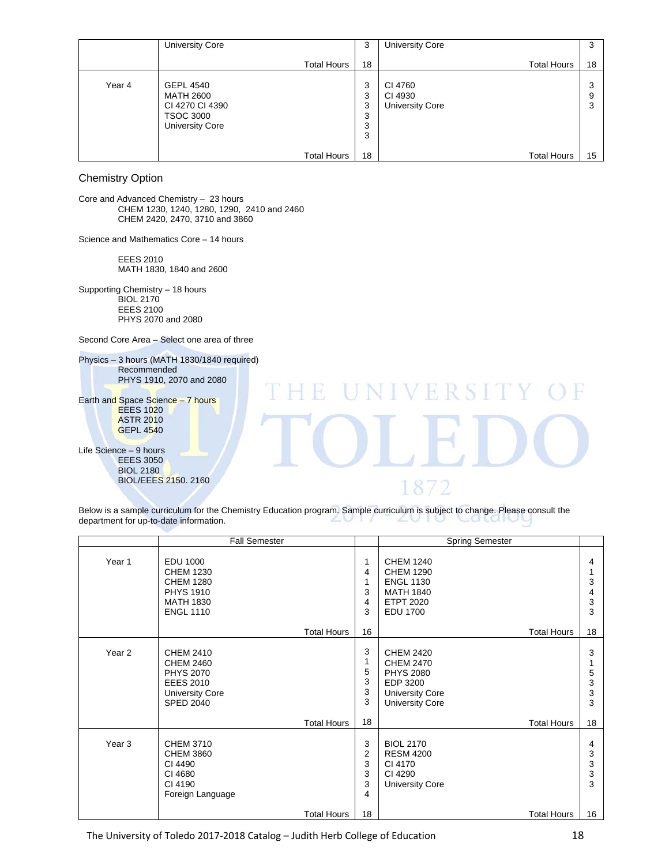|        | <b>University Core</b>                                                                  | 3                                                      | <b>University Core</b>                       |                    | 3                 |
|--------|-----------------------------------------------------------------------------------------|--------------------------------------------------------|----------------------------------------------|--------------------|-------------------|
|        | <b>Total Hours</b>                                                                      | 18                                                     |                                              | <b>Total Hours</b> | 18                |
| Year 4 | <b>GEPL 4540</b><br>MATH 2600<br>CI 4270 CI 4390<br>TSOC 3000<br><b>University Core</b> | 3<br>3<br>3<br>3<br>3<br>3<br>18<br><b>Total Hours</b> | CI 4760<br>CI 4930<br><b>University Core</b> | <b>Total Hours</b> | 3<br>9<br>3<br>15 |

Chemistry Option

Core and Advanced Chemistry – 23 hours CHEM 1230, 1240, 1280, 1290, 2410 and 2460 CHEM 2420, 2470, 3710 and 3860

Science and Mathematics Core – 14 hours

 EEES 2010 MATH 1830, 1840 and 2600

Supporting Chemistry – 18 hours BIOL 2170 EEES 2100 PHYS 2070 and 2080

Second Core Area – Select one area of three

Physics – 3 hours (MATH 1830/1840 required) Recommended PHYS 1910, 2070 and 2080 NIVERSIT F 10 Earth and Space Science – 7 hours EEES 1020 ASTR 2010 GEPL 4540 Life Science – 9 hours **EEES 3050** BIOL 2180 BIOL/EEES 2150. 2160 1872

Below is a sample curriculum for the Chemistry Education program. Sample curriculum is subject to change. Please consult the department for up-to-date information department for up-to-date information. ∠  $\mathbb{L}$ 

|                   | <b>Fall Semester</b>                                                                                                |                                         | <b>Spring Semester</b>                                                                                              |                       |
|-------------------|---------------------------------------------------------------------------------------------------------------------|-----------------------------------------|---------------------------------------------------------------------------------------------------------------------|-----------------------|
| Year 1            | <b>EDU 1000</b><br><b>CHEM 1230</b><br><b>CHEM 1280</b><br><b>PHYS 1910</b><br><b>MATH 1830</b><br><b>ENGL 1110</b> | 1<br>4<br>1<br>3<br>4<br>3              | <b>CHEM 1240</b><br><b>CHEM 1290</b><br><b>ENGL 1130</b><br><b>MATH 1840</b><br><b>ETPT 2020</b><br><b>EDU 1700</b> | 4<br>3<br>4<br>3<br>3 |
|                   | <b>Total Hours</b>                                                                                                  | 16                                      | <b>Total Hours</b>                                                                                                  | 18                    |
| Year <sub>2</sub> | CHEM 2410<br><b>CHEM 2460</b><br><b>PHYS 2070</b><br><b>EEES 2010</b><br><b>University Core</b><br><b>SPED 2040</b> | 3<br>1<br>5<br>3<br>3<br>3              | CHEM 2420<br><b>CHEM 2470</b><br><b>PHYS 2080</b><br>EDP 3200<br><b>University Core</b><br><b>University Core</b>   | 3<br>5<br>3<br>3<br>3 |
|                   | <b>Total Hours</b>                                                                                                  | 18                                      | <b>Total Hours</b>                                                                                                  | 18                    |
| Year <sub>3</sub> | <b>CHEM 3710</b><br><b>CHEM 3860</b><br>CI 4490<br>CI 4680<br>CI 4190<br>Foreign Language                           | 3<br>$\overline{2}$<br>3<br>3<br>3<br>4 | <b>BIOL 2170</b><br><b>RESM 4200</b><br>CI 4170<br>CI 4290<br><b>University Core</b>                                | 4<br>3<br>3<br>3<br>3 |
|                   | Total Hours                                                                                                         | 18                                      | <b>Total Hours</b>                                                                                                  | 16                    |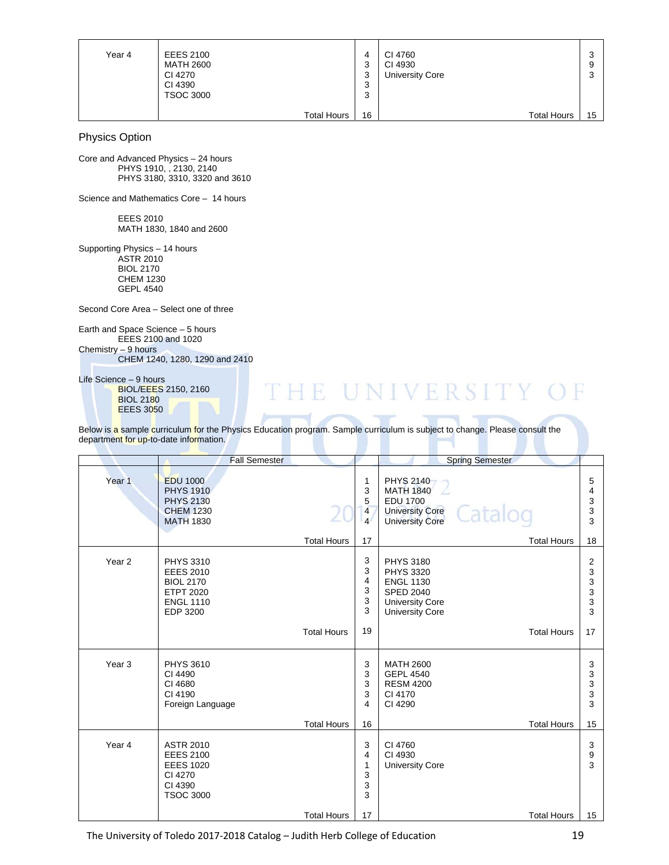| Year 4 | <b>EEES 2100</b><br>MATH 2600<br>CI 4270<br>CI 4390<br><b>TSOC 3000</b> | ≏<br>J<br>3<br>$\sim$<br>J<br>$\sqrt{2}$<br>رب | CI 4760<br>CI 4930<br><b>University Core</b> | ົ<br>w<br>9<br>◠<br>w |
|--------|-------------------------------------------------------------------------|------------------------------------------------|----------------------------------------------|-----------------------|
|        | <b>Total Hours</b>                                                      | 16                                             | <b>Total Hours</b>                           | 15                    |

Physics Option

Core and Advanced Physics – 24 hours PHYS 1910, , 2130, 2140 PHYS 3180, 3310, 3320 and 3610

Science and Mathematics Core – 14 hours

 EEES 2010 MATH 1830, 1840 and 2600

Supporting Physics – 14 hours ASTR 2010 BIOL 2170 CHEM 1230 GEPL 4540

Second Core Area – Select one of three

Earth and Space Science – 5 hours EEES 2100 and 1020 Chemistry – 9 hours CHEM 1240, 1280, 1290 and 2410

Life Science – 9 hours BIOL/EEES 2150, 2160 BIOL 2180

EEES 3050

## THE UNIVERSITY ( F

Below is a sample curriculum for the Physics Education program. Sample curriculum is subject to change. Please consult the department for up-to-date information.

|                   | <b>Fall Semester</b>                                                                                         |                    |                                    | <b>Spring Semester</b>                                                                                                           |                            |
|-------------------|--------------------------------------------------------------------------------------------------------------|--------------------|------------------------------------|----------------------------------------------------------------------------------------------------------------------------------|----------------------------|
| Year <sub>1</sub> | <b>EDU 1000</b><br><b>PHYS 1910</b><br><b>PHYS 2130</b><br><b>CHEM 1230</b><br><b>MATH 1830</b>              |                    | 1<br>3<br>5<br>4<br>$\overline{4}$ | PHYS 2140<br><b>MATH 1840</b><br><b>EDU 1700</b><br>Catalog<br><b>University Core</b><br><b>University Core</b>                  | 5<br>4<br>3<br>3<br>3      |
|                   |                                                                                                              | <b>Total Hours</b> | 17                                 | <b>Total Hours</b>                                                                                                               | 18                         |
| Year <sub>2</sub> | <b>PHYS 3310</b><br><b>EEES 2010</b><br><b>BIOL 2170</b><br><b>ETPT 2020</b><br><b>ENGL 1110</b><br>EDP 3200 |                    | 3<br>3<br>4<br>3<br>3<br>3         | <b>PHYS 3180</b><br><b>PHYS 3320</b><br><b>ENGL 1130</b><br><b>SPED 2040</b><br><b>University Core</b><br><b>University Core</b> | 2<br>3<br>3<br>3<br>3<br>3 |
|                   |                                                                                                              | <b>Total Hours</b> | 19                                 | <b>Total Hours</b>                                                                                                               | 17                         |
| Year <sub>3</sub> | <b>PHYS 3610</b><br>CI 4490<br>CI 4680<br>CI 4190<br>Foreign Language                                        |                    | 3<br>3<br>3<br>3<br>4              | <b>MATH 2600</b><br><b>GEPL 4540</b><br><b>RESM 4200</b><br>CI 4170<br>CI 4290                                                   | 3<br>3<br>3<br>3<br>3      |
|                   |                                                                                                              | <b>Total Hours</b> | 16                                 | <b>Total Hours</b>                                                                                                               | 15                         |
| Year 4            | <b>ASTR 2010</b><br><b>EEES 2100</b><br><b>EEES 1020</b><br>CI 4270<br>CI 4390<br><b>TSOC 3000</b>           | <b>Total Hours</b> | 3<br>4<br>1<br>3<br>3<br>3<br>17   | CI 4760<br>CI 4930<br><b>University Core</b><br><b>Total Hours</b>                                                               | 3<br>9<br>3<br>15          |
|                   |                                                                                                              |                    |                                    |                                                                                                                                  |                            |

The University of Toledo 2017-2018 Catalog – Judith Herb College of Education **19** 19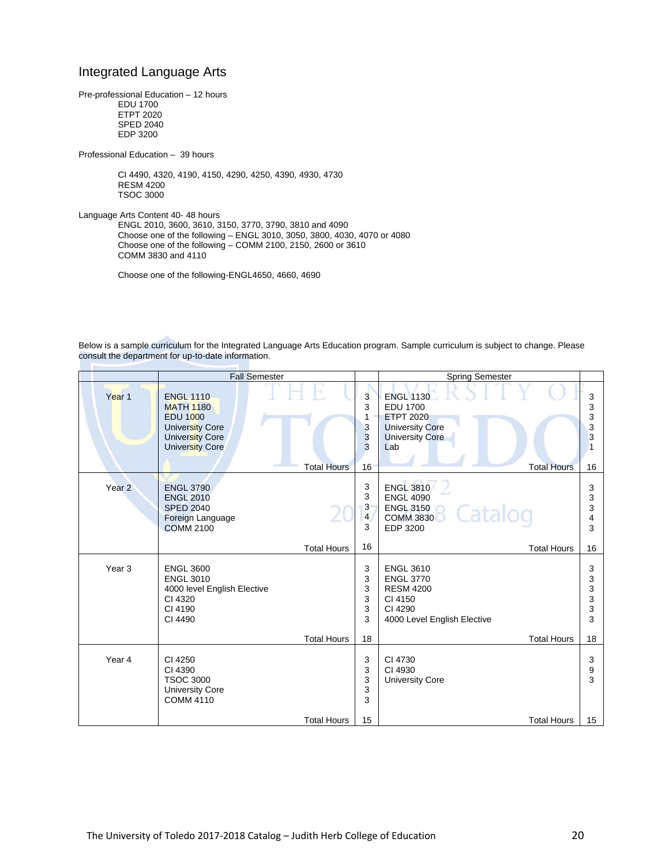## Integrated Language Arts

Pre-professional Education – 12 hours EDU 1700 ETPT 2020 SPED 2040 EDP 3200

Professional Education – 39 hours

 CI 4490, 4320, 4190, 4150, 4290, 4250, 4390, 4930, 4730 RESM 4200 TSOC 3000

Language Arts Content 40- 48 hours

 ENGL 2010, 3600, 3610, 3150, 3770, 3790, 3810 and 4090 Choose one of the following – ENGL 3010, 3050, 3800, 4030, 4070 or 4080 Choose one of the following – COMM 2100, 2150, 2600 or 3610 COMM 3830 and 4110

Choose one of the following-ENGL4650, 4660, 4690

Below is a sample curriculum for the Integrated Language Arts Education program. Sample curriculum is subject to change. Please consult the department for up-to-date information.

|                   | <b>Fall Semester</b>                                                                                             |                                                        | <b>Spring Semester</b>                                                                                                                   |                             |
|-------------------|------------------------------------------------------------------------------------------------------------------|--------------------------------------------------------|------------------------------------------------------------------------------------------------------------------------------------------|-----------------------------|
| Year 1            | <b>ENGL 1110</b><br><b>MATH 1180</b><br><b>EDU 1000</b><br>University Core<br>University Core<br>University Core | 3<br>3<br>1<br>3<br>3<br>3<br><b>Total Hours</b><br>16 | <b>ENGL 1130</b><br><b>EDU 1700</b><br><b>ETPT 2020</b><br><b>University Core</b><br><b>University Core</b><br>Lab<br><b>Total Hours</b> | 3<br>3<br>3<br>3<br>3<br>16 |
| Year <sub>2</sub> | <b>ENGL 3790</b><br><b>ENGL 2010</b><br><b>SPED 2040</b><br>Foreign Language<br><b>COMM 2100</b>                 | 3<br>3<br>3<br>$\overline{4}$<br>3                     | <b>ENGL 3810</b><br><b>ENGL 4090</b><br><b>ENGL 3150</b><br>Catalog<br><b>COMM 3830</b><br><b>EDP 3200</b>                               | 3<br>3<br>3<br>4<br>3       |
|                   |                                                                                                                  | 16<br><b>Total Hours</b>                               | <b>Total Hours</b>                                                                                                                       | 16                          |
| Year <sub>3</sub> | <b>ENGL 3600</b><br><b>ENGL 3010</b><br>4000 level English Elective<br>CI 4320<br>CI 4190<br>CI 4490             | 3<br>3<br>3<br>3<br>3<br>3                             | <b>ENGL 3610</b><br><b>ENGL 3770</b><br><b>RESM 4200</b><br>CI 4150<br>CI 4290<br>4000 Level English Elective                            | 3<br>3<br>3<br>3<br>3<br>3  |
|                   |                                                                                                                  | <b>Total Hours</b><br>18                               | <b>Total Hours</b>                                                                                                                       | 18                          |
| Year 4            | CI 4250<br>CI 4390<br><b>TSOC 3000</b><br><b>University Core</b><br><b>COMM 4110</b>                             | 3<br>3<br>3<br>3<br>3                                  | CI 4730<br>CI 4930<br><b>University Core</b>                                                                                             | 3<br>9<br>3                 |
|                   |                                                                                                                  | <b>Total Hours</b><br>15                               | <b>Total Hours</b>                                                                                                                       | 15                          |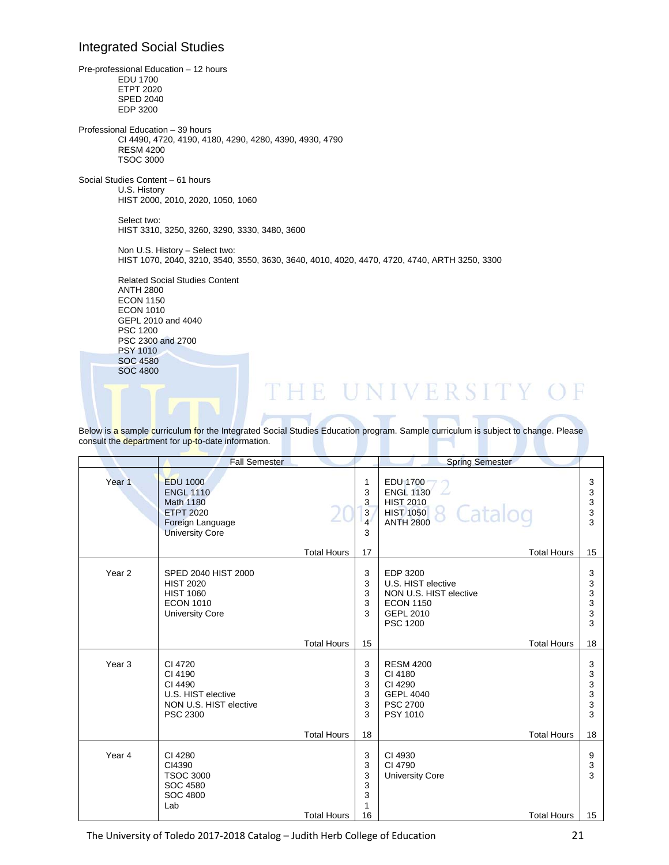## Integrated Social Studies

Pre-professional Education – 12 hours EDU 1700 ETPT 2020 SPED 2040 EDP 3200 Professional Education – 39 hours CI 4490, 4720, 4190, 4180, 4290, 4280, 4390, 4930, 4790 RESM 4200 TSOC 3000 Social Studies Content – 61 hours U.S. History HIST 2000, 2010, 2020, 1050, 1060 Select two: HIST 3310, 3250, 3260, 3290, 3330, 3480, 3600 Non U.S. History – Select two: HIST 1070, 2040, 3210, 3540, 3550, 3630, 3640, 4010, 4020, 4470, 4720, 4740, ARTH 3250, 3300 Related Social Studies Content ANTH 2800 ECON 1150

 ECON 1010 GEPL 2010 and 4040 PSC 1200 PSC 2300 and 2700 PSY 1010 SOC 4580 SOC 4800

# **HE UNIVERSITY OF**

Below is a sample curriculum for the Integrated Social Studies Education program. Sample curriculum is subject to change. Please consult the department for up-to-date information.

|                   | <b>Fall Semester</b>                                                                                                      |                    |                                         | <b>Spring Semester</b>                                                                                              |                            |
|-------------------|---------------------------------------------------------------------------------------------------------------------------|--------------------|-----------------------------------------|---------------------------------------------------------------------------------------------------------------------|----------------------------|
|                   |                                                                                                                           |                    |                                         |                                                                                                                     |                            |
| Year <sub>1</sub> | <b>EDU 1000</b><br><b>ENGL 1110</b><br><b>Math 1180</b><br><b>ETPT 2020</b><br>Foreign Language<br><b>University Core</b> |                    | 1<br>3<br>3<br>3<br>$\overline{4}$<br>3 | <b>EDU 1700</b><br><b>ENGL 1130</b><br><b>HIST 2010</b><br>Catalog<br><b>HIST 1050</b><br><b>ANTH 2800</b>          | 3<br>3<br>3<br>3<br>3      |
|                   |                                                                                                                           | <b>Total Hours</b> | 17                                      | <b>Total Hours</b>                                                                                                  | 15                         |
| Year <sub>2</sub> | SPED 2040 HIST 2000<br><b>HIST 2020</b><br><b>HIST 1060</b><br><b>ECON 1010</b><br><b>University Core</b>                 |                    | 3<br>3<br>3<br>3<br>3                   | EDP 3200<br>U.S. HIST elective<br>NON U.S. HIST elective<br><b>ECON 1150</b><br><b>GEPL 2010</b><br><b>PSC 1200</b> | 3<br>3<br>3<br>3<br>3<br>3 |
|                   |                                                                                                                           | <b>Total Hours</b> | 15                                      | <b>Total Hours</b>                                                                                                  | 18                         |
| Year <sub>3</sub> | CI 4720<br>CI 4190<br>CI 4490<br>U.S. HIST elective<br>NON U.S. HIST elective<br><b>PSC 2300</b>                          |                    | 3<br>3<br>3<br>3<br>3<br>3              | <b>RESM 4200</b><br>CI 4180<br>CI 4290<br><b>GEPL 4040</b><br><b>PSC 2700</b><br>PSY 1010                           | 3<br>3<br>3<br>3<br>3<br>3 |
|                   |                                                                                                                           | <b>Total Hours</b> | 18                                      | <b>Total Hours</b>                                                                                                  | 18                         |
| Year 4            | CI 4280<br>CI4390<br><b>TSOC 3000</b><br>SOC 4580<br><b>SOC 4800</b><br>Lab                                               |                    | 3<br>3<br>3<br>3<br>3<br>1              | CI 4930<br>CI 4790<br><b>University Core</b>                                                                        | 9<br>3<br>3                |
|                   |                                                                                                                           | <b>Total Hours</b> | 16                                      | <b>Total Hours</b>                                                                                                  | 15                         |

The University of Toledo 2017-2018 Catalog – Judith Herb College of Education 21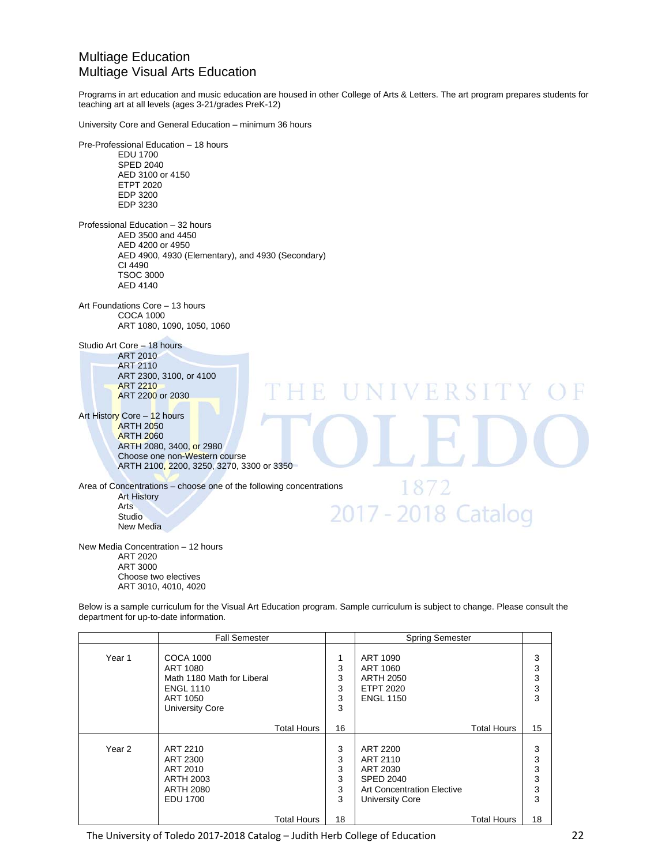## Multiage Education Multiage Visual Arts Education

Programs in art education and music education are housed in other College of Arts & Letters. The art program prepares students for teaching art at all levels (ages 3-21/grades PreK-12)

University Core and General Education – minimum 36 hours

Pre-Professional Education – 18 hours EDU 1700 SPED 2040 AED 3100 or 4150 ETPT 2020 EDP 3200 EDP 3230 Professional Education – 32 hours AED 3500 and 4450 AED 4200 or 4950 AED 4900, 4930 (Elementary), and 4930 (Secondary) CI 4490 TSOC 3000 AED 4140 Art Foundations Core – 13 hours COCA 1000 ART 1080, 1090, 1050, 1060 Studio Art Core – 18 hours ART 2010 ART 2110 ART 2300, 3100, or 4100 ART 2210 N I V F R S I ART 2200 or 2030 Art History Core - 12 hours ARTH 2050 ARTH 2060 ARTH 2080, 3400, or 2980 Choose one non-Western course ARTH 2100, 2200, 3250, 3270, 3300 or 3350 1872 Area of Concentrations – choose one of the following concentrations Art History Arts 2017 - 2018 Catalog Studio New Media New Media Concentration – 12 hours ART 2020 ART 3000 Choose two electives

ART 3010, 4010, 4020

Below is a sample curriculum for the Visual Art Education program. Sample curriculum is subject to change. Please consult the department for up-to-date information.

|        | <b>Fall Semester</b>                                                                                                 |                            | <b>Spring Semester</b>                                                                                              |                            |
|--------|----------------------------------------------------------------------------------------------------------------------|----------------------------|---------------------------------------------------------------------------------------------------------------------|----------------------------|
| Year 1 | <b>COCA 1000</b><br>ART 1080<br>Math 1180 Math for Liberal<br><b>ENGL 1110</b><br>ART 1050<br><b>University Core</b> | 1<br>3<br>3<br>3<br>3<br>3 | ART 1090<br>ART 1060<br><b>ARTH 2050</b><br><b>ETPT 2020</b><br><b>ENGL 1150</b>                                    | 3<br>3<br>3<br>3<br>3      |
|        | <b>Total Hours</b>                                                                                                   | 16                         | <b>Total Hours</b>                                                                                                  | 15                         |
| Year 2 | ART 2210<br>ART 2300<br>ART 2010<br><b>ARTH 2003</b><br><b>ARTH 2080</b><br><b>EDU 1700</b>                          | 3<br>3<br>3<br>3<br>3<br>3 | ART 2200<br>ART 2110<br>ART 2030<br><b>SPED 2040</b><br><b>Art Concentration Elective</b><br><b>University Core</b> | 3<br>3<br>3<br>3<br>3<br>3 |
|        | <b>Total Hours</b>                                                                                                   | 18                         | <b>Total Hours</b>                                                                                                  | 18                         |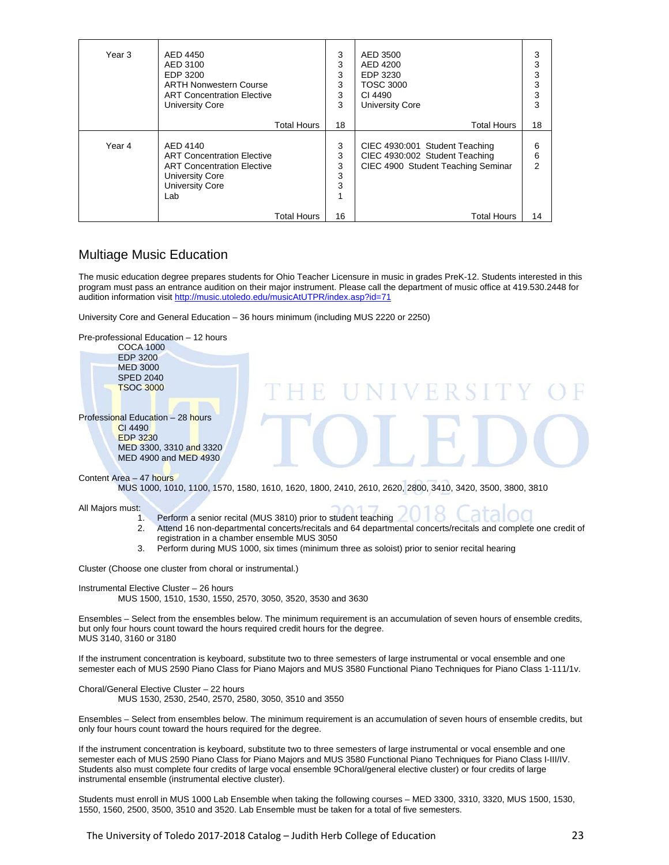| Year 3 | AED 4450                                                                                                                                                            | 3                           | AED 3500                                                                                                                     | 3                 |
|--------|---------------------------------------------------------------------------------------------------------------------------------------------------------------------|-----------------------------|------------------------------------------------------------------------------------------------------------------------------|-------------------|
|        | AED 3100                                                                                                                                                            | 3                           | AED 4200                                                                                                                     | 3                 |
|        | EDP 3200                                                                                                                                                            | 3                           | EDP 3230                                                                                                                     | 3                 |
|        | <b>ARTH Nonwestern Course</b>                                                                                                                                       | 3                           | <b>TOSC 3000</b>                                                                                                             | 3                 |
|        | <b>ART Concentration Elective</b>                                                                                                                                   | 3                           | CI 4490                                                                                                                      | 3                 |
|        | <b>University Core</b>                                                                                                                                              | 3                           | <b>University Core</b>                                                                                                       | 3                 |
|        | <b>Total Hours</b>                                                                                                                                                  | 18                          | <b>Total Hours</b>                                                                                                           | 18                |
| Year 4 | AED 4140<br><b>ART Concentration Elective</b><br><b>ART Concentration Elective</b><br><b>University Core</b><br><b>University Core</b><br>Lab<br><b>Total Hours</b> | 3<br>3<br>3<br>3<br>3<br>16 | CIEC 4930:001 Student Teaching<br>CIEC 4930:002 Student Teaching<br>CIEC 4900 Student Teaching Seminar<br><b>Total Hours</b> | 6<br>6<br>2<br>14 |

## Multiage Music Education

The music education degree prepares students for Ohio Teacher Licensure in music in grades PreK-12. Students interested in this program must pass an entrance audition on their major instrument. Please call the department of music office at 419.530.2448 for audition information visit http://music.utoledo.edu/musicAtUTPR/index.asp?id=71

University Core and General Education – 36 hours minimum (including MUS 2220 or 2250)



- registration in a chamber ensemble MUS 3050
- 3. Perform during MUS 1000, six times (minimum three as soloist) prior to senior recital hearing

Cluster (Choose one cluster from choral or instrumental.)

Instrumental Elective Cluster – 26 hours MUS 1500, 1510, 1530, 1550, 2570, 3050, 3520, 3530 and 3630

Ensembles – Select from the ensembles below. The minimum requirement is an accumulation of seven hours of ensemble credits, but only four hours count toward the hours required credit hours for the degree. MUS 3140, 3160 or 3180

If the instrument concentration is keyboard, substitute two to three semesters of large instrumental or vocal ensemble and one semester each of MUS 2590 Piano Class for Piano Majors and MUS 3580 Functional Piano Techniques for Piano Class 1-111/1v.

Choral/General Elective Cluster – 22 hours MUS 1530, 2530, 2540, 2570, 2580, 3050, 3510 and 3550

Ensembles – Select from ensembles below. The minimum requirement is an accumulation of seven hours of ensemble credits, but only four hours count toward the hours required for the degree.

If the instrument concentration is keyboard, substitute two to three semesters of large instrumental or vocal ensemble and one semester each of MUS 2590 Piano Class for Piano Majors and MUS 3580 Functional Piano Techniques for Piano Class I-III/IV. Students also must complete four credits of large vocal ensemble 9Choral/general elective cluster) or four credits of large instrumental ensemble (instrumental elective cluster).

Students must enroll in MUS 1000 Lab Ensemble when taking the following courses – MED 3300, 3310, 3320, MUS 1500, 1530, 1550, 1560, 2500, 3500, 3510 and 3520. Lab Ensemble must be taken for a total of five semesters.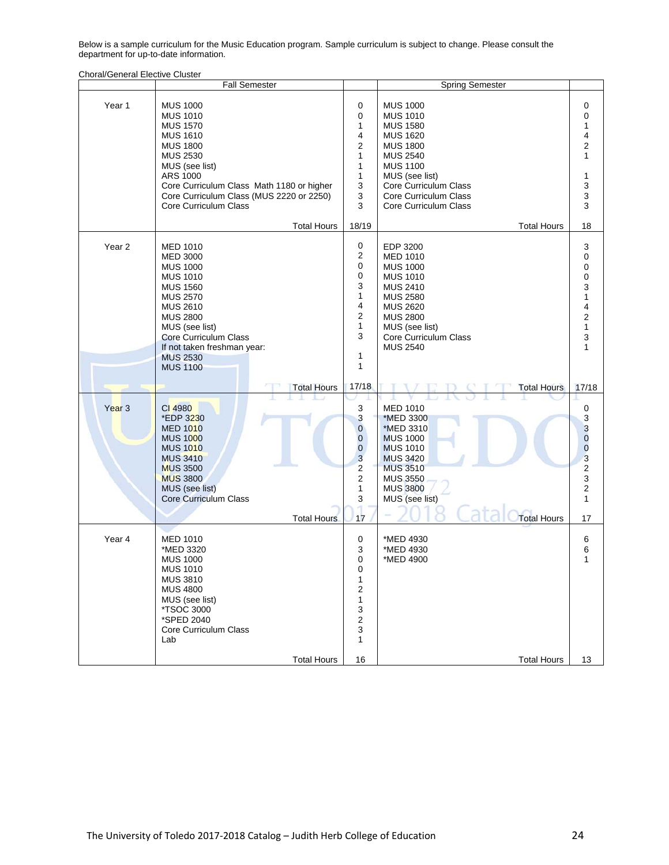Below is a sample curriculum for the Music Education program. Sample curriculum is subject to change. Please consult the department for up-to-date information.

|                   | <b>Fall Semester</b>                                                                                                                                                                                                                                                                        |                                                                                                                                       | <b>Spring Semester</b>                                                                                                                                                                                                                               |                                                                                                                                                       |
|-------------------|---------------------------------------------------------------------------------------------------------------------------------------------------------------------------------------------------------------------------------------------------------------------------------------------|---------------------------------------------------------------------------------------------------------------------------------------|------------------------------------------------------------------------------------------------------------------------------------------------------------------------------------------------------------------------------------------------------|-------------------------------------------------------------------------------------------------------------------------------------------------------|
| Year 1            | <b>MUS 1000</b><br><b>MUS 1010</b><br><b>MUS 1570</b><br><b>MUS 1610</b><br><b>MUS 1800</b><br><b>MUS 2530</b><br>MUS (see list)<br><b>ARS 1000</b><br>Core Curriculum Class Math 1180 or higher<br>Core Curriculum Class (MUS 2220 or 2250)<br>Core Curriculum Class<br><b>Total Hours</b> | 0<br>0<br>1<br>4<br>2<br>$\mathbf{1}$<br>$\mathbf{1}$<br>1<br>3<br>3<br>3<br>18/19                                                    | <b>MUS 1000</b><br><b>MUS 1010</b><br><b>MUS 1580</b><br><b>MUS 1620</b><br><b>MUS 1800</b><br><b>MUS 2540</b><br><b>MUS 1100</b><br>MUS (see list)<br>Core Curriculum Class<br>Core Curriculum Class<br>Core Curriculum Class<br><b>Total Hours</b> | 0<br>0<br>1<br>4<br>$\mathbf 2$<br>1<br>1<br>3<br>3<br>3<br>18                                                                                        |
| Year 2            | <b>MED 1010</b><br><b>MED 3000</b><br><b>MUS 1000</b><br><b>MUS 1010</b><br><b>MUS 1560</b><br><b>MUS 2570</b><br><b>MUS 2610</b><br><b>MUS 2800</b><br>MUS (see list)<br><b>Core Curriculum Class</b><br>If not taken freshman year:<br><b>MUS 2530</b><br><b>MUS 1100</b>                 | 0<br>$\overline{\mathbf{c}}$<br>0<br>0<br>3<br>$\mathbf{1}$<br>4<br>2<br>$\mathbf{1}$<br>3<br>$\mathbf{1}$<br>$\mathbf{1}$            | EDP 3200<br><b>MED 1010</b><br><b>MUS 1000</b><br><b>MUS 1010</b><br><b>MUS 2410</b><br><b>MUS 2580</b><br><b>MUS 2620</b><br><b>MUS 2800</b><br>MUS (see list)<br>Core Curriculum Class<br><b>MUS 2540</b>                                          | 3<br>0<br>0<br>0<br>3<br>1<br>4<br>$\overline{2}$<br>$\mathbf{1}$<br>3<br>1                                                                           |
| Year <sub>3</sub> | <b>Total Hours</b><br>CI 4980<br>*EDP 3230<br><b>MED 1010</b><br><b>MUS 1000</b><br><b>MUS 1010</b><br><b>MUS 3410</b><br><b>MUS 3500</b><br><b>MUS 3800</b><br>MUS (see list)<br><b>Core Curriculum Class</b><br><b>Total Hours</b>                                                        | 17/18<br>3<br>3<br>$\mathbf 0$<br>$\pmb{0}$<br>$\pmb{0}$<br>$\overline{3}$<br>$\overline{\mathbf{c}}$<br>2<br>$\mathbf{1}$<br>3<br>17 | <b>Total Hours</b><br><b>MED 1010</b><br>*MED 3300<br>*MED 3310<br><b>MUS 1000</b><br><b>MUS 1010</b><br><b>MUS 3420</b><br><b>MUS 3510</b><br><b>MUS 3550</b><br><b>MUS 3800</b><br>MUS (see list)<br><b>Total Hours</b>                            | 17/18<br>0<br>$\mathbf{3}$<br>3<br>$\mathbf 0$<br>$\overline{0}$<br>$\overline{3}$<br>$\boldsymbol{2}$<br>3<br>$\boldsymbol{2}$<br>$\mathbf{1}$<br>17 |
| Year 4            | <b>MED 1010</b><br>*MED 3320<br><b>MUS 1000</b><br><b>MUS 1010</b><br><b>MUS 3810</b><br><b>MUS 4800</b><br>MUS (see list)<br>*TSOC 3000<br>*SPED 2040<br>Core Curriculum Class<br>Lab<br><b>Total Hours</b>                                                                                | 0<br>3<br>0<br>0<br>1<br>2<br>$\mathbf{1}$<br>3<br>$\mathbf 2$<br>3<br>$\mathbf{1}$<br>16                                             | *MED 4930<br>*MED 4930<br>*MED 4900<br><b>Total Hours</b>                                                                                                                                                                                            | 6<br>6<br>1<br>13                                                                                                                                     |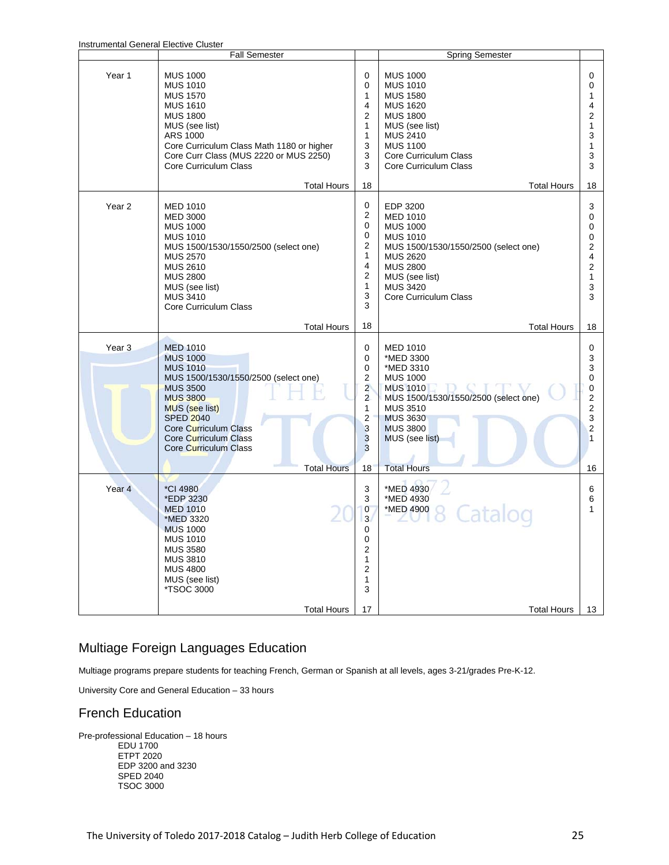| instrumental General Elective Cluster |                                                                                                                                                                                                                                                      |                                                                               |                                                                                                                                                                                                               |                                                           |
|---------------------------------------|------------------------------------------------------------------------------------------------------------------------------------------------------------------------------------------------------------------------------------------------------|-------------------------------------------------------------------------------|---------------------------------------------------------------------------------------------------------------------------------------------------------------------------------------------------------------|-----------------------------------------------------------|
|                                       | Fall Semester                                                                                                                                                                                                                                        |                                                                               | <b>Spring Semester</b>                                                                                                                                                                                        |                                                           |
| Year 1                                | <b>MUS 1000</b><br><b>MUS 1010</b><br><b>MUS 1570</b><br><b>MUS 1610</b><br><b>MUS 1800</b><br>MUS (see list)<br>ARS 1000<br>Core Curriculum Class Math 1180 or higher<br>Core Curr Class (MUS 2220 or MUS 2250)<br>Core Curriculum Class            | 0<br>0<br>1<br>4<br>2<br>1<br>1<br>3<br>3<br>3                                | <b>MUS 1000</b><br><b>MUS 1010</b><br><b>MUS 1580</b><br><b>MUS 1620</b><br><b>MUS 1800</b><br>MUS (see list)<br><b>MUS 2410</b><br><b>MUS 1100</b><br>Core Curriculum Class<br>Core Curriculum Class         | 0<br>0<br>1<br>4<br>2<br>$\mathbf{1}$<br>3<br>1<br>3<br>3 |
|                                       | <b>Total Hours</b>                                                                                                                                                                                                                                   | 18                                                                            | <b>Total Hours</b>                                                                                                                                                                                            | 18                                                        |
| Year <sub>2</sub>                     | <b>MED 1010</b><br><b>MED 3000</b><br><b>MUS 1000</b><br><b>MUS 1010</b><br>MUS 1500/1530/1550/2500 (select one)<br><b>MUS 2570</b><br><b>MUS 2610</b><br><b>MUS 2800</b><br>MUS (see list)<br><b>MUS 3410</b><br><b>Core Curriculum Class</b>       | 0<br>2<br>0<br>0<br>2<br>1<br>4<br>2<br>1<br>3<br>3                           | EDP 3200<br><b>MED 1010</b><br><b>MUS 1000</b><br><b>MUS 1010</b><br>MUS 1500/1530/1550/2500 (select one)<br><b>MUS 2620</b><br><b>MUS 2800</b><br>MUS (see list)<br><b>MUS 3420</b><br>Core Curriculum Class | 3<br>0<br>0<br>0<br>2<br>4<br>2<br>1<br>3<br>3            |
|                                       | <b>Total Hours</b>                                                                                                                                                                                                                                   | 18                                                                            | <b>Total Hours</b>                                                                                                                                                                                            | 18                                                        |
| Year <sub>3</sub>                     | <b>MED 1010</b><br><b>MUS 1000</b><br><b>MUS 1010</b><br>MUS 1500/1530/1550/2500 (select one)<br><b>MUS 3500</b><br><b>MUS 3800</b><br>MUS (see list)<br><b>SPED 2040</b><br>Core Curriculum Class<br>Core Curriculum Class<br>Core Curriculum Class | 0<br>0<br>0<br>2<br>$\overline{2}$<br>$\overline{2}$<br>1<br>2<br>3<br>3<br>3 | MED 1010<br>*MED 3300<br>*MED 3310<br><b>MUS 1000</b><br><b>MUS 1010</b><br>MUS 1500/1530/1550/2500 (select one)<br><b>MUS 3510</b><br><b>MUS 3630</b><br><b>MUS 3800</b><br>MUS (see list)                   | 0<br>3<br>3<br>0<br>0<br>2<br>2<br>3<br>2<br>1            |
|                                       | <b>Total Hours</b>                                                                                                                                                                                                                                   | 18                                                                            | <b>Total Hours</b>                                                                                                                                                                                            | 16                                                        |
| Year <sub>4</sub>                     | *CI 4980<br>*EDP 3230<br><b>MED 1010</b><br>*MED 3320<br><b>MUS 1000</b><br><b>MUS 1010</b><br><b>MUS 3580</b><br><b>MUS 3810</b><br><b>MUS 4800</b><br>MUS (see list)<br>*TSOC 3000                                                                 | 3<br>3<br>$\overline{0}$<br>$\overline{3}$<br>0<br>0<br>2<br>1<br>2<br>1<br>3 | *MED 4930<br>*MED 4930<br>*MED 4900                                                                                                                                                                           | 6<br>6<br>1                                               |
|                                       | <b>Total Hours</b>                                                                                                                                                                                                                                   | 17                                                                            | <b>Total Hours</b>                                                                                                                                                                                            | 13                                                        |

## Multiage Foreign Languages Education

Multiage programs prepare students for teaching French, German or Spanish at all levels, ages 3-21/grades Pre-K-12.

University Core and General Education – 33 hours

## French Education

Pre-professional Education – 18 hours EDU 1700 ETPT 2020 EDP 3200 and 3230 SPED 2040 TSOC 3000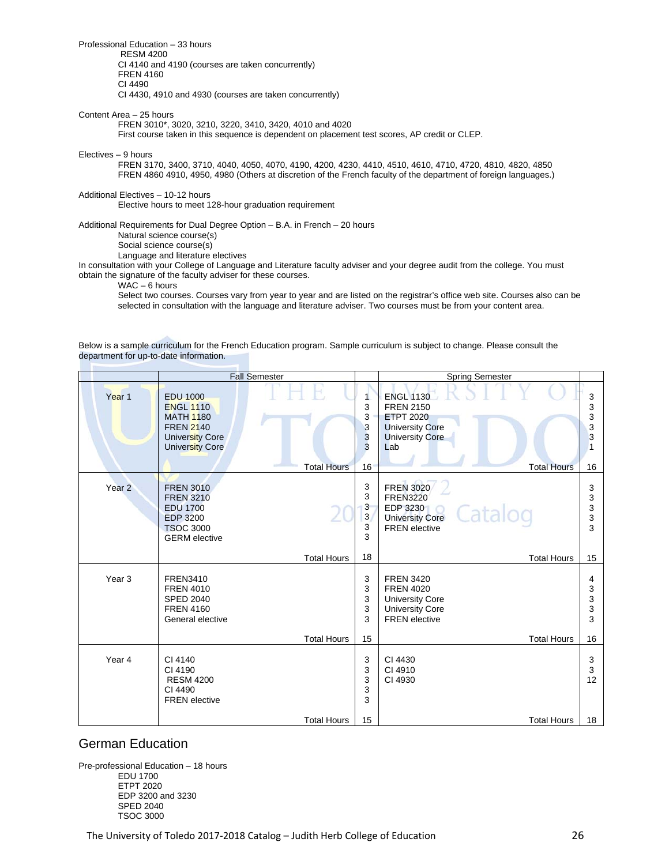Professional Education – 33 hours

 RESM 4200 CI 4140 and 4190 (courses are taken concurrently) FREN 4160 CI 4490

CI 4430, 4910 and 4930 (courses are taken concurrently)

#### Content Area – 25 hours

FREN 3010\*, 3020, 3210, 3220, 3410, 3420, 4010 and 4020

First course taken in this sequence is dependent on placement test scores, AP credit or CLEP.

#### Electives – 9 hours

FREN 3170, 3400, 3710, 4040, 4050, 4070, 4190, 4200, 4230, 4410, 4510, 4610, 4710, 4720, 4810, 4820, 4850 FREN 4860 4910, 4950, 4980 (Others at discretion of the French faculty of the department of foreign languages.)

Additional Electives – 10-12 hours

Elective hours to meet 128-hour graduation requirement

Additional Requirements for Dual Degree Option – B.A. in French – 20 hours

Natural science course(s)

Social science course(s)

Language and literature electives

In consultation with your College of Language and Literature faculty adviser and your degree audit from the college. You must obtain the signature of the faculty adviser for these courses.

WAC – 6 hours

Select two courses. Courses vary from year to year and are listed on the registrar's office web site. Courses also can be selected in consultation with the language and literature adviser. Two courses must be from your content area.

Below is a sample curriculum for the French Education program. Sample curriculum is subject to change. Please consult the department for up-to-date information.

|                   |                                                                                                                          | <b>Fall Semester</b> |                                  | <b>Spring Semester</b>                                                                                                                    |                                  |
|-------------------|--------------------------------------------------------------------------------------------------------------------------|----------------------|----------------------------------|-------------------------------------------------------------------------------------------------------------------------------------------|----------------------------------|
| Year <sub>1</sub> | <b>EDU 1000</b><br><b>ENGL 1110</b><br><b>MATH 1180</b><br><b>FREN 2140</b><br>University Core<br><b>University Core</b> | <b>Total Hours</b>   | 1<br>3<br>3<br>3<br>3<br>3<br>16 | <b>ENGL 1130</b><br><b>FREN 2150</b><br><b>ETPT 2020</b><br><b>University Core</b><br><b>University Core</b><br>Lab<br><b>Total Hours</b> | 3<br>3<br>3<br>3<br>3<br>1<br>16 |
| Year <sub>2</sub> | <b>FREN 3010</b><br><b>FREN 3210</b><br><b>EDU 1700</b><br><b>EDP 3200</b><br><b>TSOC 3000</b><br><b>GERM</b> elective   |                      | 3<br>3<br>3<br>3<br>3<br>3       | <b>FREN 3020</b><br><b>FREN3220</b><br><b>EDP 3230</b><br>Catalog<br><b>University Core</b><br><b>FREN</b> elective                       | 3<br>3<br>3<br>3<br>3            |
|                   |                                                                                                                          | <b>Total Hours</b>   | 18                               | <b>Total Hours</b>                                                                                                                        | 15                               |
| Year <sub>3</sub> | <b>FREN3410</b><br><b>FREN 4010</b><br><b>SPED 2040</b><br><b>FREN 4160</b><br>General elective                          |                      | 3<br>3<br>3<br>3<br>3            | <b>FREN 3420</b><br><b>FREN 4020</b><br><b>University Core</b><br><b>University Core</b><br><b>FREN</b> elective                          | 4<br>3<br>3<br>3<br>3            |
|                   |                                                                                                                          | <b>Total Hours</b>   | 15                               | <b>Total Hours</b>                                                                                                                        | 16                               |
| Year 4            | CI 4140<br>CI 4190<br><b>RESM 4200</b><br>CI 4490<br><b>FREN</b> elective                                                | <b>Total Hours</b>   | 3<br>3<br>3<br>3<br>3<br>15      | CI 4430<br>CI 4910<br>CI 4930<br><b>Total Hours</b>                                                                                       | 3<br>3<br>12<br>18               |

## German Education

Pre-professional Education – 18 hours EDU 1700 ETPT 2020 EDP 3200 and 3230 SPED 2040 TSOC 3000

The University of Toledo 2017-2018 Catalog – Judith Herb College of Education *Mathematics* 26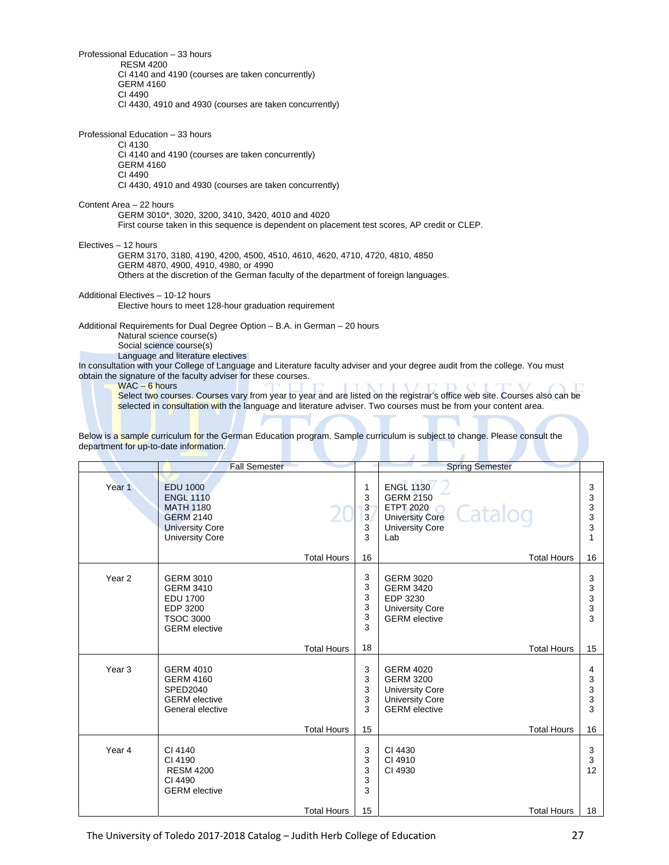Professional Education – 33 hours RESM 4200 CI 4140 and 4190 (courses are taken concurrently) GERM 4160 CI 4490 CI 4430, 4910 and 4930 (courses are taken concurrently)

Professional Education – 33 hours CI 4130 CI 4140 and 4190 (courses are taken concurrently) GERM 4160 CI 4490 CI 4430, 4910 and 4930 (courses are taken concurrently) Content Area – 22 hours GERM 3010\*, 3020, 3200, 3410, 3420, 4010 and 4020 First course taken in this sequence is dependent on placement test scores, AP credit or CLEP. Electives – 12 hours GERM 3170, 3180, 4190, 4200, 4500, 4510, 4610, 4620, 4710, 4720, 4810, 4850 GERM 4870, 4900, 4910, 4980, or 4990 Others at the discretion of the German faculty of the department of foreign languages. Additional Electives – 10-12 hours Elective hours to meet 128-hour graduation requirement Additional Requirements for Dual Degree Option – B.A. in German – 20 hours

 Natural science course(s) Social science course(s) Language and literature electives In consultation with your College of Language and Literature faculty adviser and your degree audit from the college. You must obtain the signature of the faculty adviser for these courses.

WAC – 6 hours

Select two courses. Courses vary from year to year and are listed on the registrar's office web site. Courses also can be selected in consultation with the language and literature adviser. Two courses must be from your content area.

Below is a sample curriculum for the German Education program. Sample curriculum is subject to change. Please consult the department for up-to-date information.

|                   | <b>Fall Semester</b>                                                                                                            |                    |                            | <b>Spring Semester</b>                                                                                                         |                            |
|-------------------|---------------------------------------------------------------------------------------------------------------------------------|--------------------|----------------------------|--------------------------------------------------------------------------------------------------------------------------------|----------------------------|
|                   |                                                                                                                                 |                    |                            |                                                                                                                                |                            |
| Year 1            | <b>EDU 1000</b><br><b>ENGL 1110</b><br><b>MATH 1180</b><br><b>GERM 2140</b><br><b>University Core</b><br><b>University Core</b> |                    | 1<br>3<br>3<br>3<br>3<br>3 | <b>ENGL 1130</b><br><b>GERM 2150</b><br><b>ETPT 2020</b><br>Catalog<br><b>University Core</b><br><b>University Core</b><br>Lab | 3<br>3<br>3<br>3<br>3<br>1 |
|                   |                                                                                                                                 | <b>Total Hours</b> | 16                         | <b>Total Hours</b>                                                                                                             | 16                         |
| Year <sub>2</sub> | <b>GERM 3010</b><br><b>GERM 3410</b><br><b>EDU 1700</b><br>EDP 3200<br><b>TSOC 3000</b><br><b>GERM</b> elective                 |                    | 3<br>3<br>3<br>3<br>3<br>3 | <b>GERM 3020</b><br><b>GERM 3420</b><br>EDP 3230<br><b>University Core</b><br><b>GERM</b> elective                             | 3<br>3<br>3<br>3<br>3      |
|                   |                                                                                                                                 | <b>Total Hours</b> | 18                         | <b>Total Hours</b>                                                                                                             | 15                         |
| Year <sub>3</sub> | <b>GERM 4010</b><br><b>GERM 4160</b><br>SPED2040<br><b>GERM</b> elective<br>General elective                                    |                    | 3<br>3<br>3<br>3<br>3      | <b>GERM 4020</b><br><b>GERM 3200</b><br><b>University Core</b><br><b>University Core</b><br><b>GERM</b> elective               | 4<br>3<br>3<br>3<br>3      |
|                   |                                                                                                                                 | <b>Total Hours</b> | 15                         | <b>Total Hours</b>                                                                                                             | 16                         |
| Year 4            | CI 4140<br>CI 4190<br><b>RESM 4200</b><br>CI 4490<br><b>GERM</b> elective                                                       |                    | 3<br>3<br>3<br>3<br>3      | CI 4430<br>CI 4910<br>CI 4930                                                                                                  | 3<br>3<br>12               |
|                   |                                                                                                                                 | <b>Total Hours</b> | 15                         | <b>Total Hours</b>                                                                                                             | 18                         |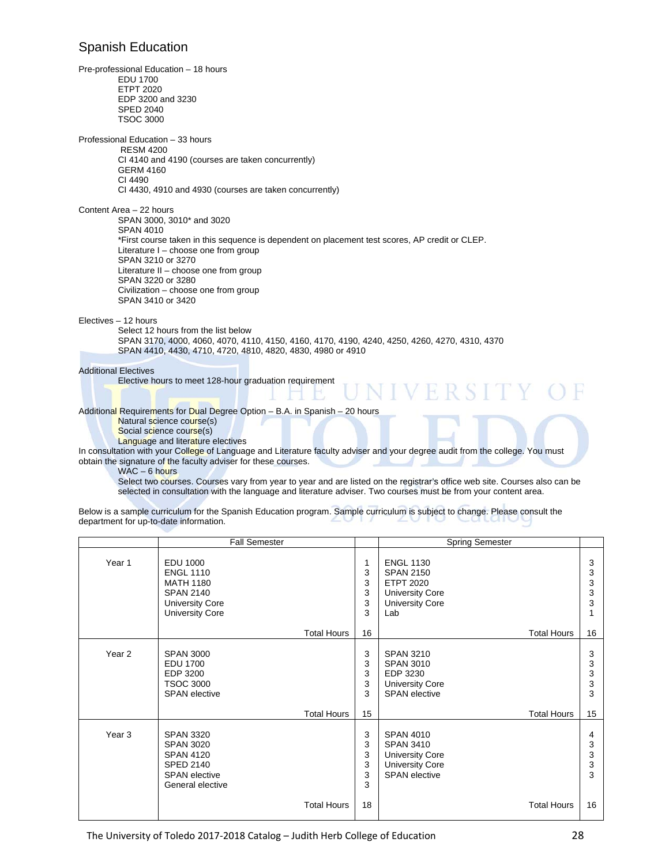## Spanish Education

Pre-professional Education – 18 hours EDU 1700 ETPT 2020 EDP 3200 and 3230 SPED 2040 TSOC 3000 Professional Education – 33 hours RESM 4200 CI 4140 and 4190 (courses are taken concurrently) GERM 4160 CI 4490 CI 4430, 4910 and 4930 (courses are taken concurrently) Content Area – 22 hours SPAN 3000, 3010\* and 3020 SPAN 4010 \*First course taken in this sequence is dependent on placement test scores, AP credit or CLEP. Literature I – choose one from group SPAN 3210 or 3270 Literature II – choose one from group SPAN 3220 or 3280 Civilization – choose one from group SPAN 3410 or 3420 Electives – 12 hours Select 12 hours from the list below SPAN 3170, 4000, 4060, 4070, 4110, 4150, 4160, 4170, 4190, 4240, 4250, 4260, 4270, 4310, 4370 SPAN 4410, 4430, 4710, 4720, 4810, 4820, 4830, 4980 or 4910 Additional Electives Elective hours to meet 128-hour graduation requirement H R SIT Additional Requirements for Dual Degree Option - B.A. in Spanish - 20 hours Natural science course(s) Social science course(s) Language and literature electives In consultation with your College of Language and Literature faculty adviser and your degree audit from the college. You must obtain the signature of the faculty adviser for these courses.

WAC – 6 hours

Select two courses. Courses vary from year to year and are listed on the registrar's office web site. Courses also can be selected in consultation with the language and literature adviser. Two courses must be from your content area.

| Below is a sample curriculum for the Spanish Education program. Sample curriculum is subject to change. Please consult the |             |  |
|----------------------------------------------------------------------------------------------------------------------------|-------------|--|
| department for up-to-date information.                                                                                     | ___________ |  |

|                   | <b>Fall Semester</b>                                                                                                            |                            | <b>Spring Semester</b>                                                                                              |                       |
|-------------------|---------------------------------------------------------------------------------------------------------------------------------|----------------------------|---------------------------------------------------------------------------------------------------------------------|-----------------------|
| Year 1            | <b>EDU 1000</b><br><b>ENGL 1110</b><br><b>MATH 1180</b><br><b>SPAN 2140</b><br><b>University Core</b><br><b>University Core</b> | 1<br>3<br>3<br>3<br>3<br>3 | <b>ENGL 1130</b><br><b>SPAN 2150</b><br><b>ETPT 2020</b><br><b>University Core</b><br><b>University Core</b><br>Lab | 3<br>3<br>3<br>3<br>3 |
|                   | <b>Total Hours</b>                                                                                                              | 16                         | <b>Total Hours</b>                                                                                                  | 16                    |
| Year 2            | <b>SPAN 3000</b><br><b>EDU 1700</b><br>EDP 3200<br><b>TSOC 3000</b><br><b>SPAN</b> elective                                     | 3<br>3<br>3<br>3<br>3      | <b>SPAN 3210</b><br><b>SPAN 3010</b><br>EDP 3230<br><b>University Core</b><br><b>SPAN</b> elective                  | 3<br>3<br>3<br>3<br>3 |
|                   | <b>Total Hours</b>                                                                                                              | 15                         | <b>Total Hours</b>                                                                                                  | 15                    |
| Year <sub>3</sub> | <b>SPAN 3320</b><br><b>SPAN 3020</b><br><b>SPAN 4120</b><br><b>SPED 2140</b><br><b>SPAN</b> elective<br>General elective        | 3<br>3<br>3<br>3<br>3<br>3 | <b>SPAN 4010</b><br><b>SPAN 3410</b><br><b>University Core</b><br><b>University Core</b><br><b>SPAN</b> elective    | 4<br>3<br>3<br>3<br>3 |
|                   | <b>Total Hours</b>                                                                                                              | 18                         | <b>Total Hours</b>                                                                                                  | 16                    |

The University of Toledo 2017-2018 Catalog – Judith Herb College of Education *Mathematics* 28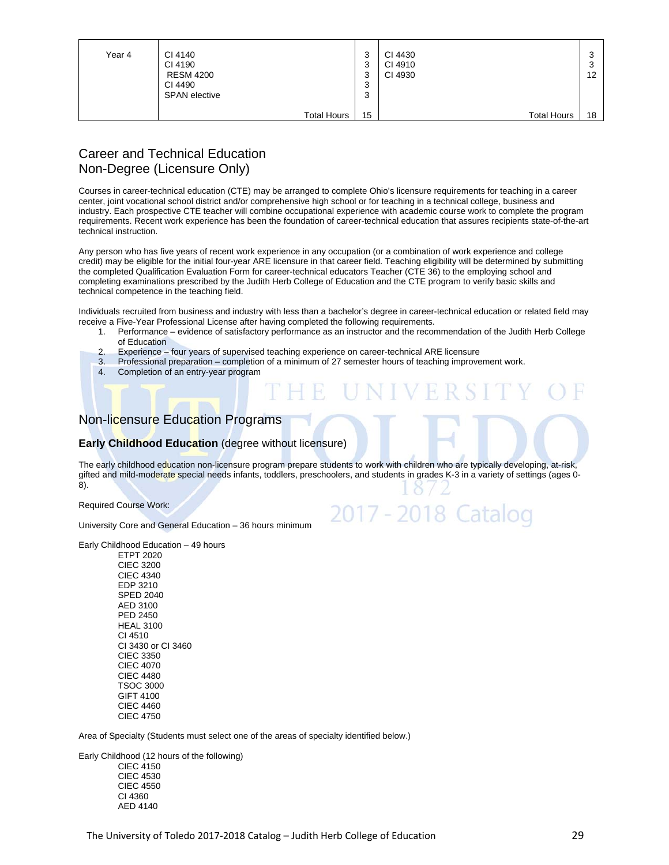| Year 4 | CI 4140<br>CI 4190<br><b>RESM 4200</b><br>CI 4490<br><b>SPAN</b> elective | 3<br>3<br>3<br>ົ<br>P<br>ົ<br>۰J | CI 4430<br>CI 4910<br>CI 4930 | 12 |
|--------|---------------------------------------------------------------------------|----------------------------------|-------------------------------|----|
|        | <b>Total Hours</b>                                                        | 15                               | <b>Total Hours</b>            | 18 |

## Career and Technical Education Non-Degree (Licensure Only)

Courses in career-technical education (CTE) may be arranged to complete Ohio's licensure requirements for teaching in a career center, joint vocational school district and/or comprehensive high school or for teaching in a technical college, business and industry. Each prospective CTE teacher will combine occupational experience with academic course work to complete the program requirements. Recent work experience has been the foundation of career-technical education that assures recipients state-of-the-art technical instruction.

Any person who has five years of recent work experience in any occupation (or a combination of work experience and college credit) may be eligible for the initial four-year ARE licensure in that career field. Teaching eligibility will be determined by submitting the completed Qualification Evaluation Form for career-technical educators Teacher (CTE 36) to the employing school and completing examinations prescribed by the Judith Herb College of Education and the CTE program to verify basic skills and technical competence in the teaching field.

Individuals recruited from business and industry with less than a bachelor's degree in career-technical education or related field may receive a Five-Year Professional License after having completed the following requirements.

- 1. Performance evidence of satisfactory performance as an instructor and the recommendation of the Judith Herb College of Education
- 2. Experience four years of supervised teaching experience on career-technical ARE licensure
- 3. Professional preparation completion of a minimum of 27 semester hours of teaching improvement work.
- 4. Completion of an entry-year program

## Non-licensure Education Programs

#### **Early Childhood Education** (degree without licensure)

The early childhood education non-licensure program prepare students to work with children who are typically developing, at-risk, gifted and mild-moderate special needs infants, toddlers, preschoolers, and students in grades K-3 in a variety of settings (ages 0-8).

2017 - 2018 Catalog

Required Course Work:

University Core and General Education – 36 hours minimum

Early Childhood Education – 49 hours

ETPT 2020 CIEC 3200 CIEC 4340 EDP 3210 SPED 2040 AED 3100 PED 2450 HEAL 3100 CI 4510 CI 3430 or CI 3460 CIEC 3350 CIEC 4070 CIEC 4480 TSOC 3000 GIFT 4100 CIEC 4460 CIEC 4750

Area of Specialty (Students must select one of the areas of specialty identified below.)

Early Childhood (12 hours of the following) CIEC 4150 CIEC 4530 CIEC 4550

CI 4360 AED 4140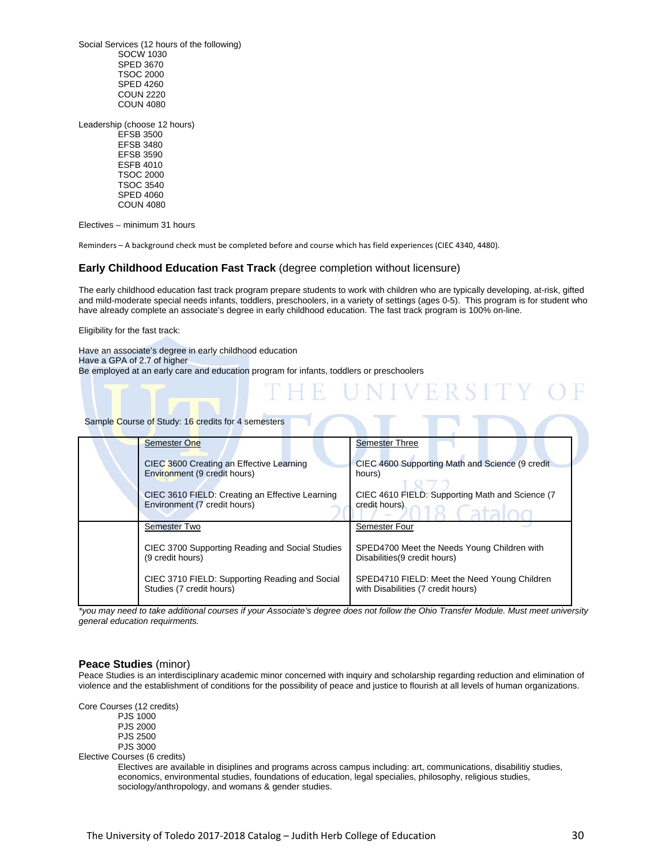Social Services (12 hours of the following) SOCW 1030 SPED 3670 TSOC 2000 SPED 4260 COUN 2220 COUN 4080

Leadership (choose 12 hours) EFSB 3500 EFSB 3480 EFSB 3590 ESFB 4010 TSOC 2000 TSOC 3540 SPED 4060 COUN 4080

Electives – minimum 31 hours

Reminders – A background check must be completed before and course which has field experiences (CIEC 4340, 4480).

#### **Early Childhood Education Fast Track** (degree completion without licensure)

The early childhood education fast track program prepare students to work with children who are typically developing, at-risk, gifted and mild-moderate special needs infants, toddlers, preschoolers, in a variety of settings (ages 0-5). This program is for student who have already complete an associate's degree in early childhood education. The fast track program is 100% on-line.

UNIVERSITY

Eligibility for the fast track:

Have an associate's degree in early childhood education Have a GPA of 2.7 of higher Be employed at an early care and education program for infants, toddlers or preschoolers

#### Sample Course of Study: 16 credits for 4 semesters

| <b>Semester One</b>                                                             | <b>Semester Three</b>                                                              |
|---------------------------------------------------------------------------------|------------------------------------------------------------------------------------|
| CIEC 3600 Creating an Effective Learning<br>Environment (9 credit hours)        | CIEC 4600 Supporting Math and Science (9 credit)<br>hours)                         |
| CIEC 3610 FIELD: Creating an Effective Learning<br>Environment (7 credit hours) | CIEC 4610 FIELD: Supporting Math and Science (7)<br>credit hours)                  |
| <b>Semester Two</b>                                                             | Semester Four                                                                      |
| CIEC 3700 Supporting Reading and Social Studies<br>(9 credit hours)             | SPED4700 Meet the Needs Young Children with<br>Disabilities (9 credit hours)       |
| CIEC 3710 FIELD: Supporting Reading and Social<br>Studies (7 credit hours)      | SPED4710 FIELD: Meet the Need Young Children<br>with Disabilities (7 credit hours) |

*\*you may need to take additional courses if your Associate's degree does not follow the Ohio Transfer Module. Must meet university general education requirments.* 

#### **Peace Studies** (minor)

Peace Studies is an interdisciplinary academic minor concerned with inquiry and scholarship regarding reduction and elimination of violence and the establishment of conditions for the possibility of peace and justice to flourish at all levels of human organizations.

Core Courses (12 credits)

 PJS 1000 PJS 2000 PJS 2500 PJS 3000

Elective Courses (6 credits)

 Electives are available in disiplines and programs across campus including: art, communications, disabilitiy studies, economics, environmental studies, foundations of education, legal specialies, philosophy, religious studies, sociology/anthropology, and womans & gender studies.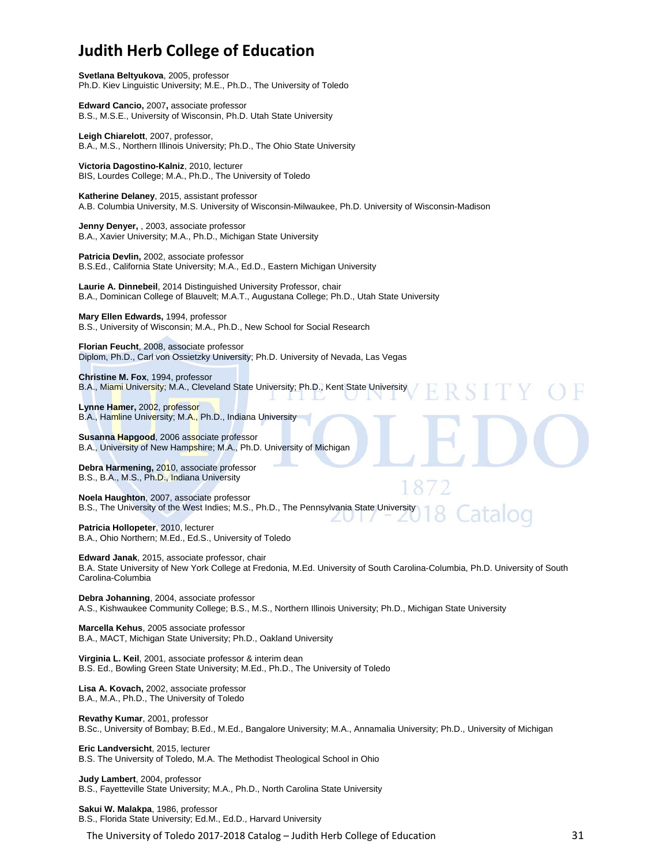# **Judith Herb College of Education**

**Svetlana Beltyukova**, 2005, professor Ph.D. Kiev Linguistic University; M.E., Ph.D., The University of Toledo

**Edward Cancio,** 2007**,** associate professor B.S., M.S.E., University of Wisconsin, Ph.D. Utah State University

**Leigh Chiarelott**, 2007, professor, B.A., M.S., Northern Illinois University; Ph.D., The Ohio State University

**Victoria Dagostino-Kalniz**, 2010, lecturer BIS, Lourdes College; M.A., Ph.D., The University of Toledo

**Katherine Delaney**, 2015, assistant professor A.B. Columbia University, M.S. University of Wisconsin-Milwaukee, Ph.D. University of Wisconsin-Madison

**Jenny Denyer,** , 2003, associate professor B.A., Xavier University; M.A., Ph.D., Michigan State University

**Patricia Devlin,** 2002, associate professor B.S.Ed., California State University; M.A., Ed.D., Eastern Michigan University

**Laurie A. Dinnebeil**, 2014 Distinguished University Professor, chair B.A., Dominican College of Blauvelt; M.A.T., Augustana College; Ph.D., Utah State University

**Mary Ellen Edwards,** 1994, professor B.S., University of Wisconsin; M.A., Ph.D., New School for Social Research

**Florian Feucht**, 2008, associate professor Diplom, Ph.D., Carl von Ossietzky University; Ph.D. University of Nevada, Las Vegas

**Christine M. Fox**, 1994, professor B.A., Miami University; M.A., Cleveland State University; Ph.D., Kent State University

**Lynne Hamer,** 2002, professor B.A., Hamline University; M.A., Ph.D., Indiana University

**Susanna Hapgood**, 2006 associate professor B.A., University of New Hampshire; M.A., Ph.D. University of Michigan

**Debra Harmening,** 2010, associate professor B.S., B.A., M.S., Ph.D., Indiana University

**Noela Haughton**, 2007, associate professor B.S., The University of the West Indies; M.S., Ph.D., The Pennsylvania State University

**Patricia Hollopeter**, 2010, lecturer B.A., Ohio Northern; M.Ed., Ed.S., University of Toledo

**Edward Janak**, 2015, associate professor, chair B.A. State University of New York College at Fredonia, M.Ed. University of South Carolina-Columbia, Ph.D. University of South Carolina-Columbia

**Debra Johanning**, 2004, associate professor A.S., Kishwaukee Community College; B.S., M.S., Northern Illinois University; Ph.D., Michigan State University

**Marcella Kehus**, 2005 associate professor B.A., MACT, Michigan State University; Ph.D., Oakland University

**Virginia L. Keil**, 2001, associate professor & interim dean B.S. Ed., Bowling Green State University; M.Ed., Ph.D., The University of Toledo

**Lisa A. Kovach,** 2002, associate professor B.A., M.A., Ph.D., The University of Toledo

**Revathy Kumar**, 2001, professor B.Sc., University of Bombay; B.Ed., M.Ed., Bangalore University; M.A., Annamalia University; Ph.D., University of Michigan

**Eric Landversicht**, 2015, lecturer B.S. The University of Toledo, M.A. The Methodist Theological School in Ohio

**Judy Lambert**, 2004, professor B.S., Fayetteville State University; M.A., Ph.D., North Carolina State University

**Sakui W. Malakpa**, 1986, professor B.S., Florida State University; Ed.M., Ed.D., Harvard University

The University of Toledo 2017-2018 Catalog – Judith Herb College of Education 31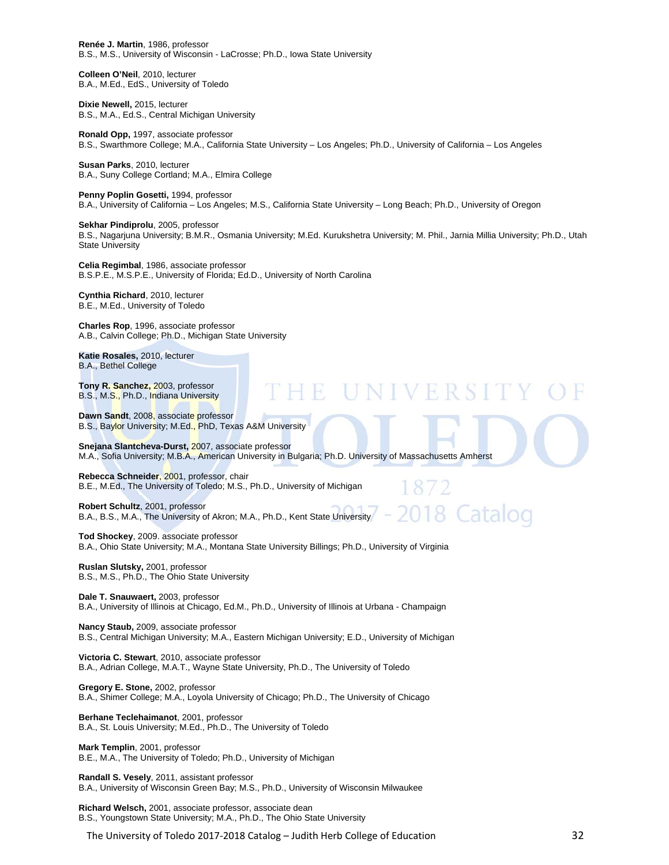**Renée J. Martin**, 1986, professor B.S., M.S., University of Wisconsin - LaCrosse; Ph.D., Iowa State University

**Colleen O'Neil**, 2010, lecturer B.A., M.Ed., EdS., University of Toledo

**Dixie Newell,** 2015, lecturer B.S., M.A., Ed.S., Central Michigan University

**Ronald Opp,** 1997, associate professor B.S., Swarthmore College; M.A., California State University – Los Angeles; Ph.D., University of California – Los Angeles

**Susan Parks**, 2010, lecturer B.A., Suny College Cortland; M.A., Elmira College

**Penny Poplin Gosetti,** 1994, professor B.A., University of California – Los Angeles; M.S., California State University – Long Beach; Ph.D., University of Oregon

**Sekhar Pindiprolu**, 2005, professor B.S., Nagarjuna University; B.M.R., Osmania University; M.Ed. Kurukshetra University; M. Phil., Jarnia Millia University; Ph.D., Utah State University

**FUNIVERSI** 

872

018 Cataloo

**Celia Regimbal**, 1986, associate professor B.S.P.E., M.S.P.E., University of Florida; Ed.D., University of North Carolina

**Cynthia Richard**, 2010, lecturer B.E., M.Ed., University of Toledo

**Charles Rop**, 1996, associate professor A.B., Calvin College; Ph.D., Michigan State University

**Katie Rosales,** 2010, lecturer B.A., Bethel College

**Tony R. Sanchez,** 2003, professor B.S., M.S., Ph.D., Indiana University

**Dawn Sandt**, 2008, associate professor B.S., Baylor University; M.Ed., PhD, Texas A&M University

**Snejana Slantcheva-Durst,** 2007, associate professor M.A., Sofia University; M.B.A., American University in Bulgaria; Ph.D. University of Massachusetts Amherst

**Rebecca Schneider**, 2001, professor, chair B.E., M.Ed., The University of Toledo; M.S., Ph.D., University of Michigan

**Robert Schultz**, 2001, professor B.A., B.S., M.A., The University of Akron; M.A., Ph.D., Kent State University

**Tod Shockey**, 2009. associate professor B.A., Ohio State University; M.A., Montana State University Billings; Ph.D., University of Virginia

**Ruslan Slutsky,** 2001, professor B.S., M.S., Ph.D., The Ohio State University

**Dale T. Snauwaert,** 2003, professor B.A., University of Illinois at Chicago, Ed.M., Ph.D., University of Illinois at Urbana - Champaign

**Nancy Staub,** 2009, associate professor B.S., Central Michigan University; M.A., Eastern Michigan University; E.D., University of Michigan

**Victoria C. Stewart**, 2010, associate professor B.A., Adrian College, M.A.T., Wayne State University, Ph.D., The University of Toledo

**Gregory E. Stone,** 2002, professor B.A., Shimer College; M.A., Loyola University of Chicago; Ph.D., The University of Chicago

**Berhane Teclehaimanot**, 2001, professor B.A., St. Louis University; M.Ed., Ph.D., The University of Toledo

**Mark Templin**, 2001, professor B.E., M.A., The University of Toledo; Ph.D., University of Michigan

**Randall S. Vesely**, 2011, assistant professor B.A., University of Wisconsin Green Bay; M.S., Ph.D., University of Wisconsin Milwaukee

**Richard Welsch,** 2001, associate professor, associate dean B.S., Youngstown State University; M.A., Ph.D., The Ohio State University

The University of Toledo 2017-2018 Catalog – Judith Herb College of Education 32